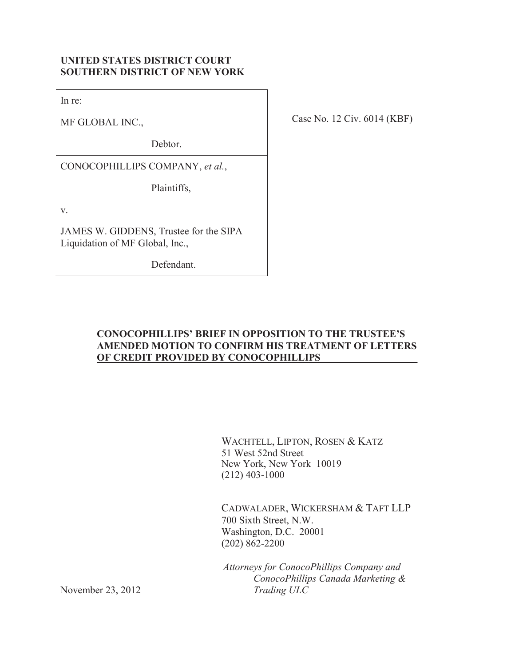## **UNITED STATES DISTRICT COURT SOUTHERN DISTRICT OF NEW YORK**

In re:

MF GLOBAL INC.,

Debtor.

CONOCOPHILLIPS COMPANY, *et al.*,

Plaintiffs,

v.

JAMES W. GIDDENS, Trustee for the SIPA Liquidation of MF Global, Inc.,

Defendant.

Case No. 12 Civ. 6014 (KBF)

### **CONOCOPHILLIPS' BRIEF IN OPPOSITION TO THE TRUSTEE'S AMENDED MOTION TO CONFIRM HIS TREATMENT OF LETTERS OF CREDIT PROVIDED BY CONOCOPHILLIPS**

WACHTELL, LIPTON, ROSEN & KATZ 51 West 52nd Street New York, New York 10019 (212) 403-1000

CADWALADER, WICKERSHAM & TAFT LLP 700 Sixth Street, N.W. Washington, D.C. 20001 (202) 862-2200

*Attorneys for ConocoPhillips Company and ConocoPhillips Canada Marketing & Trading ULC*

November 23, 2012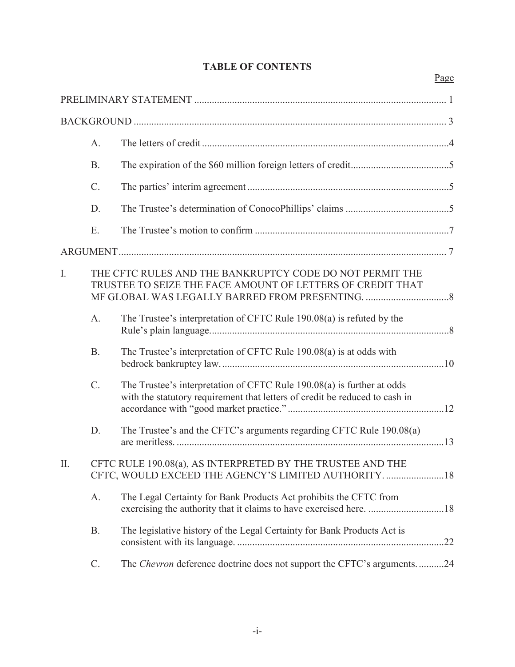|  | <b>TABLE OF CONTENTS</b> |
|--|--------------------------|
|--|--------------------------|

Page

|    | A <sub>1</sub>  |                                                                                                                                                       |  |
|----|-----------------|-------------------------------------------------------------------------------------------------------------------------------------------------------|--|
|    | B.              |                                                                                                                                                       |  |
|    | $\mathcal{C}$ . |                                                                                                                                                       |  |
|    | D.              |                                                                                                                                                       |  |
|    | Ε.              |                                                                                                                                                       |  |
|    |                 |                                                                                                                                                       |  |
| I. |                 | THE CFTC RULES AND THE BANKRUPTCY CODE DO NOT PERMIT THE<br>TRUSTEE TO SEIZE THE FACE AMOUNT OF LETTERS OF CREDIT THAT                                |  |
|    | A.              | The Trustee's interpretation of CFTC Rule 190.08(a) is refuted by the                                                                                 |  |
|    | B.              | The Trustee's interpretation of CFTC Rule 190.08(a) is at odds with                                                                                   |  |
|    | $\mathcal{C}$ . | The Trustee's interpretation of CFTC Rule 190.08(a) is further at odds<br>with the statutory requirement that letters of credit be reduced to cash in |  |
|    | D.              | The Trustee's and the CFTC's arguments regarding CFTC Rule 190.08(a)                                                                                  |  |
| Π. |                 | CFTC RULE 190.08(a), AS INTERPRETED BY THE TRUSTEE AND THE<br>CFTC, WOULD EXCEED THE AGENCY'S LIMITED AUTHORITY. 18                                   |  |
|    | A.              | The Legal Certainty for Bank Products Act prohibits the CFTC from                                                                                     |  |
|    | <b>B.</b>       | The legislative history of the Legal Certainty for Bank Products Act is                                                                               |  |
|    | $C$ .           | The Chevron deference doctrine does not support the CFTC's arguments24                                                                                |  |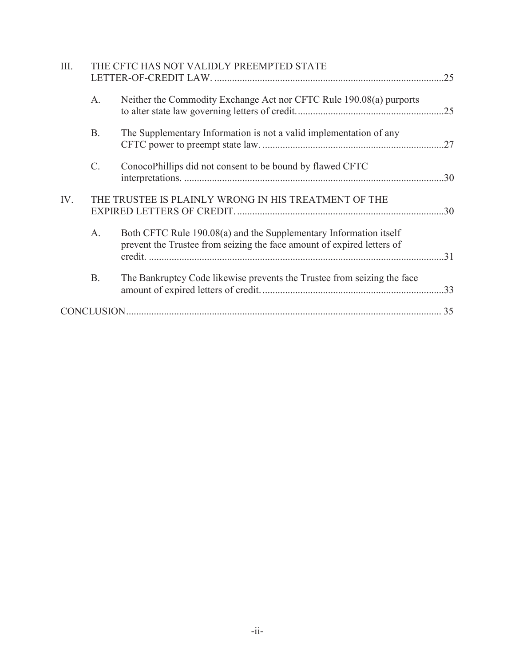| III. |           | THE CFTC HAS NOT VALIDLY PREEMPTED STATE                                                                                                    | .25 |
|------|-----------|---------------------------------------------------------------------------------------------------------------------------------------------|-----|
|      | A.        | Neither the Commodity Exchange Act nor CFTC Rule 190.08(a) purports                                                                         |     |
|      | <b>B.</b> | The Supplementary Information is not a valid implementation of any                                                                          |     |
|      | $C$ .     | ConocoPhillips did not consent to be bound by flawed CFTC                                                                                   | .30 |
| IV.  |           | THE TRUSTEE IS PLAINLY WRONG IN HIS TREATMENT OF THE                                                                                        |     |
|      | A.        | Both CFTC Rule 190.08(a) and the Supplementary Information itself<br>prevent the Trustee from seizing the face amount of expired letters of | .31 |
|      | <b>B.</b> | The Bankruptcy Code likewise prevents the Trustee from seizing the face                                                                     | .33 |
|      |           |                                                                                                                                             | 35  |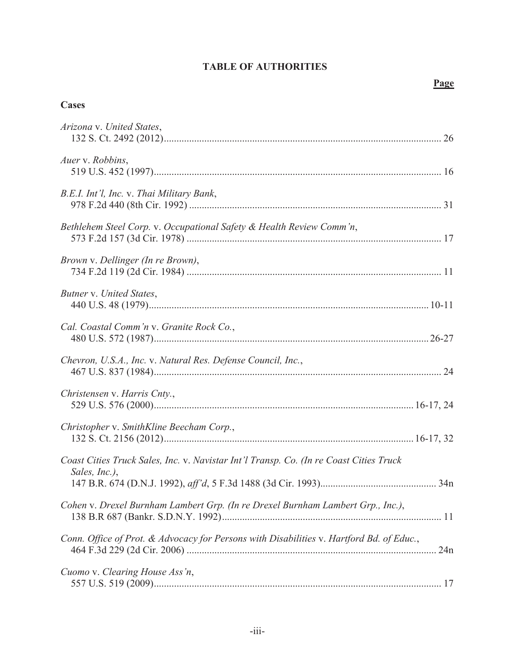# **TABLE OF AUTHORITIES**

## **Page**

## **Cases**

| Arizona v. United States,                                                                               |     |
|---------------------------------------------------------------------------------------------------------|-----|
| Auer v. Robbins,                                                                                        |     |
| B.E.I. Int'l, Inc. v. Thai Military Bank,                                                               |     |
| Bethlehem Steel Corp. v. Occupational Safety & Health Review Comm'n,                                    |     |
| Brown v. Dellinger (In re Brown),                                                                       |     |
| Butner v. United States,                                                                                |     |
| Cal. Coastal Comm'n v. Granite Rock Co.,                                                                |     |
| Chevron, U.S.A., Inc. v. Natural Res. Defense Council, Inc.,                                            |     |
| Christensen v. Harris Cnty.,                                                                            |     |
| Christopher v. SmithKline Beecham Corp.,                                                                |     |
| Coast Cities Truck Sales, Inc. v. Navistar Int'l Transp. Co. (In re Coast Cities Truck<br>Sales, Inc.), |     |
| Cohen v. Drexel Burnham Lambert Grp. (In re Drexel Burnham Lambert Grp., Inc.),                         |     |
| Conn. Office of Prot. & Advocacy for Persons with Disabilities v. Hartford Bd. of Educ.,                | 24n |
| Cuomo v. Clearing House Ass'n,                                                                          |     |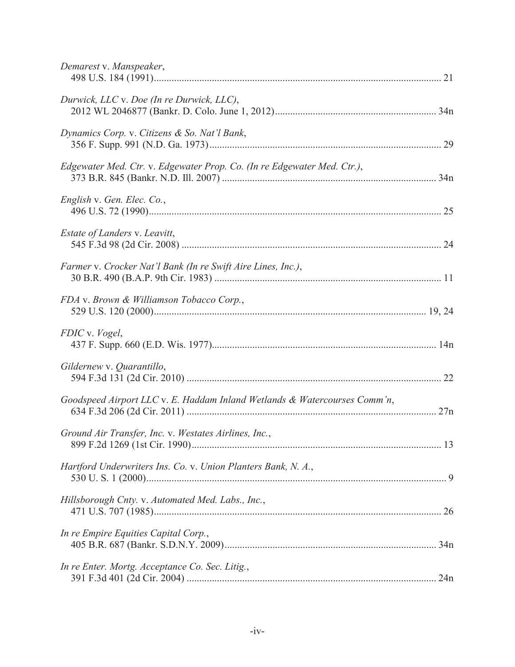| Demarest v. Manspeaker,                                                   |  |
|---------------------------------------------------------------------------|--|
| Durwick, LLC v. Doe (In re Durwick, LLC),                                 |  |
| Dynamics Corp. v. Citizens & So. Nat'l Bank,                              |  |
| Edgewater Med. Ctr. v. Edgewater Prop. Co. (In re Edgewater Med. Ctr.),   |  |
| English v. Gen. Elec. Co.,                                                |  |
| Estate of Landers v. Leavitt,                                             |  |
| Farmer v. Crocker Nat'l Bank (In re Swift Aire Lines, Inc.),              |  |
| FDA v. Brown & Williamson Tobacco Corp.,                                  |  |
| FDIC v. Vogel,                                                            |  |
| Gildernew v. Quarantillo,                                                 |  |
| Goodspeed Airport LLC v. E. Haddam Inland Wetlands & Watercourses Comm'n, |  |
| Ground Air Transfer, Inc. v. Westates Airlines, Inc.,                     |  |
| Hartford Underwriters Ins. Co. v. Union Planters Bank, N. A.,             |  |
| Hillsborough Cnty. v. Automated Med. Labs., Inc.,                         |  |
| In re Empire Equities Capital Corp.,                                      |  |
| In re Enter. Mortg. Acceptance Co. Sec. Litig.,                           |  |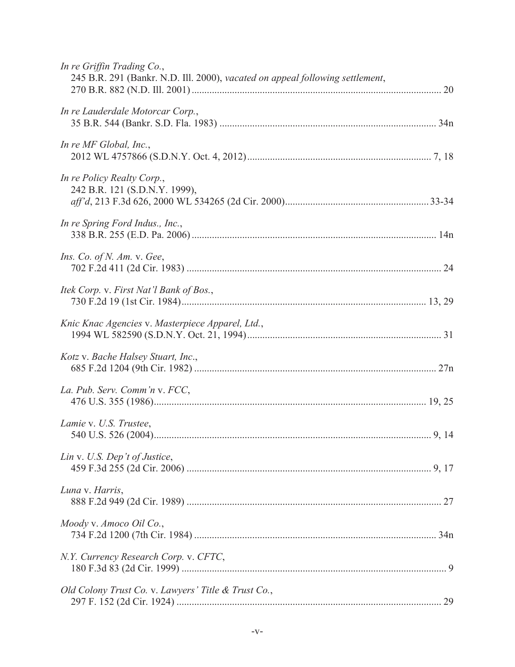| In re Griffin Trading Co.,<br>245 B.R. 291 (Bankr. N.D. Ill. 2000), vacated on appeal following settlement, |  |
|-------------------------------------------------------------------------------------------------------------|--|
| In re Lauderdale Motorcar Corp.,                                                                            |  |
| In re $MF$ Global, Inc.,                                                                                    |  |
| In re Policy Realty Corp.,<br>242 B.R. 121 (S.D.N.Y. 1999),                                                 |  |
| In re Spring Ford Indus., Inc.,                                                                             |  |
| <i>Ins.</i> Co. of <i>N. Am.</i> v. Gee,                                                                    |  |
| Itek Corp. v. First Nat'l Bank of Bos.,                                                                     |  |
| Knic Knac Agencies v. Masterpiece Apparel, Ltd.,                                                            |  |
| Kotz v. Bache Halsey Stuart, Inc.,                                                                          |  |
| La. Pub. Serv. Comm'n v. FCC,                                                                               |  |
| Lamie v. U.S. Trustee,                                                                                      |  |
| Lin v. U.S. Dep't of Justice,                                                                               |  |
| Luna v. Harris,                                                                                             |  |
| Moody v. Amoco Oil Co.,                                                                                     |  |
| N.Y. Currency Research Corp. v. CFTC,                                                                       |  |
| Old Colony Trust Co. v. Lawyers' Title & Trust Co.,                                                         |  |
|                                                                                                             |  |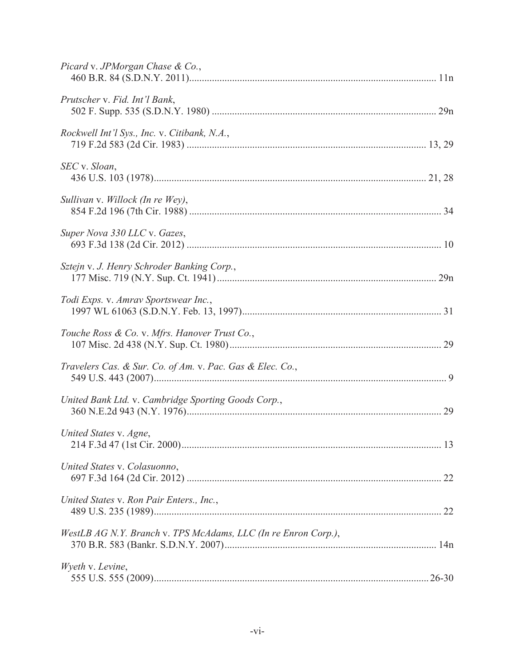| Picard v. JPMorgan Chase & Co.,                                |  |
|----------------------------------------------------------------|--|
| Prutscher v. Fid. Int'l Bank,                                  |  |
| Rockwell Int'l Sys., Inc. v. Citibank, N.A.,                   |  |
| SEC v. Sloan,                                                  |  |
| Sullivan v. Willock (In re Wey),                               |  |
| Super Nova 330 LLC v. Gazes,                                   |  |
| Sztejn v. J. Henry Schroder Banking Corp.,                     |  |
| Todi Exps. v. Amrav Sportswear Inc.,                           |  |
| Touche Ross & Co. v. Mfrs. Hanover Trust Co.,                  |  |
| Travelers Cas. & Sur. Co. of Am. v. Pac. Gas & Elec. Co.,      |  |
| United Bank Ltd. v. Cambridge Sporting Goods Corp.,            |  |
| United States v. Agne,                                         |  |
| United States v. Colasuonno,                                   |  |
| United States v. Ron Pair Enters., Inc.,                       |  |
| WestLB AG N.Y. Branch v. TPS McAdams, LLC (In re Enron Corp.), |  |
| Wyeth v. Levine,                                               |  |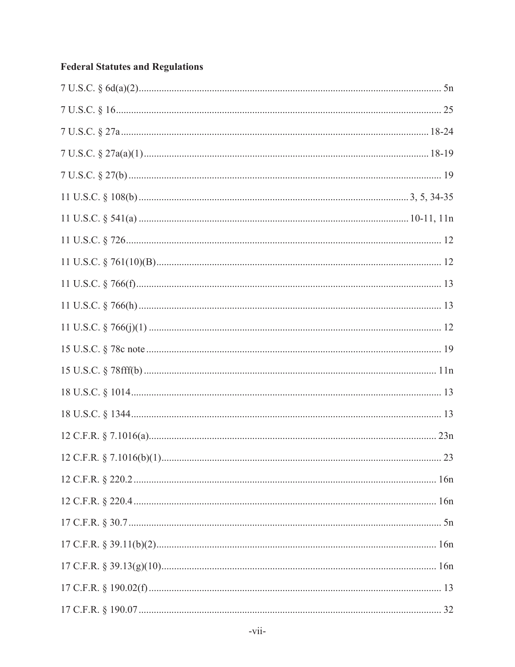# **Federal Statutes and Regulations**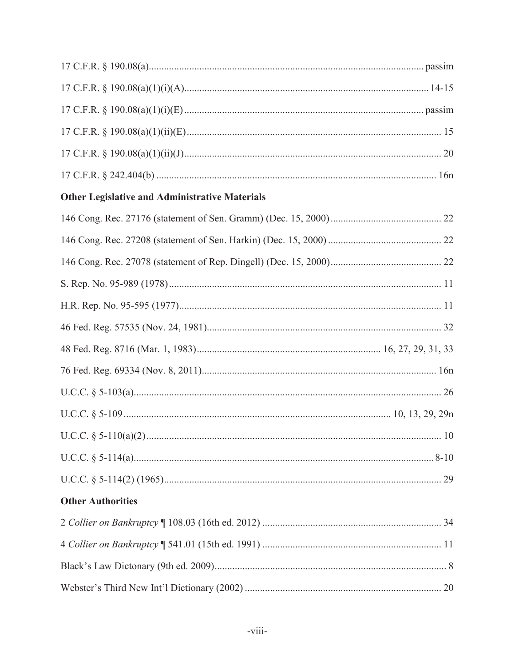| <b>Other Legislative and Administrative Materials</b> |  |
|-------------------------------------------------------|--|
|                                                       |  |
|                                                       |  |
|                                                       |  |
|                                                       |  |
|                                                       |  |
|                                                       |  |
|                                                       |  |
|                                                       |  |
|                                                       |  |
|                                                       |  |
|                                                       |  |
|                                                       |  |
|                                                       |  |
|                                                       |  |
| <b>Other Authorities</b>                              |  |
|                                                       |  |
|                                                       |  |
|                                                       |  |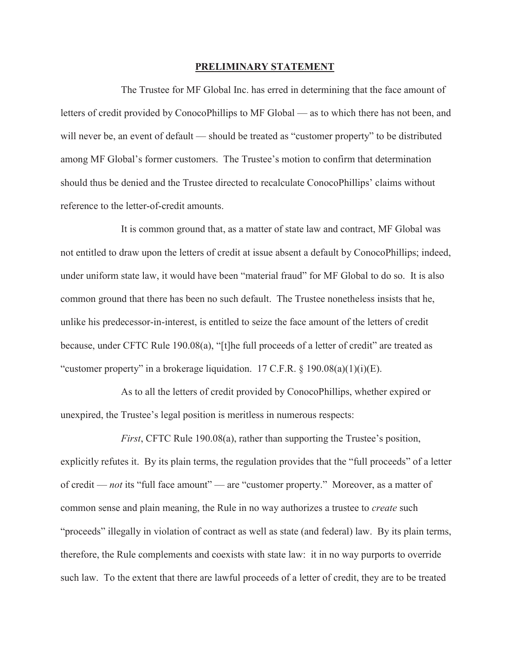#### **PRELIMINARY STATEMENT**

The Trustee for MF Global Inc. has erred in determining that the face amount of letters of credit provided by ConocoPhillips to MF Global — as to which there has not been, and will never be, an event of default — should be treated as "customer property" to be distributed among MF Global's former customers. The Trustee's motion to confirm that determination should thus be denied and the Trustee directed to recalculate ConocoPhillips' claims without reference to the letter-of-credit amounts.

It is common ground that, as a matter of state law and contract, MF Global was not entitled to draw upon the letters of credit at issue absent a default by ConocoPhillips; indeed, under uniform state law, it would have been "material fraud" for MF Global to do so. It is also common ground that there has been no such default. The Trustee nonetheless insists that he, unlike his predecessor-in-interest, is entitled to seize the face amount of the letters of credit because, under CFTC Rule 190.08(a), "[t]he full proceeds of a letter of credit" are treated as "customer property" in a brokerage liquidation.  $17 \text{ C.F.R.}$  §  $190.08(a)(1)(i)(E)$ .

As to all the letters of credit provided by ConocoPhillips, whether expired or unexpired, the Trustee's legal position is meritless in numerous respects:

*First*, CFTC Rule 190.08(a), rather than supporting the Trustee's position, explicitly refutes it. By its plain terms, the regulation provides that the "full proceeds" of a letter of credit — *not* its "full face amount" — are "customer property." Moreover, as a matter of common sense and plain meaning, the Rule in no way authorizes a trustee to *create* such "proceeds" illegally in violation of contract as well as state (and federal) law. By its plain terms, therefore, the Rule complements and coexists with state law: it in no way purports to override such law. To the extent that there are lawful proceeds of a letter of credit, they are to be treated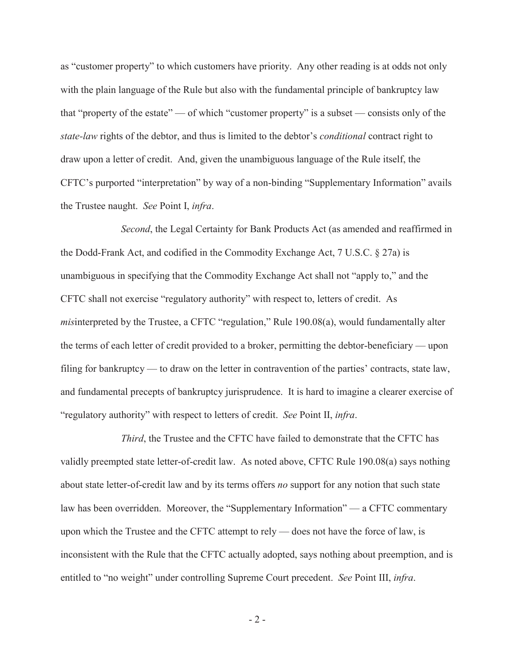as "customer property" to which customers have priority. Any other reading is at odds not only with the plain language of the Rule but also with the fundamental principle of bankruptcy law that "property of the estate" — of which "customer property" is a subset — consists only of the *state-law* rights of the debtor, and thus is limited to the debtor's *conditional* contract right to draw upon a letter of credit. And, given the unambiguous language of the Rule itself, the CFTC's purported "interpretation" by way of a non-binding "Supplementary Information" avails the Trustee naught. *See* Point I, *infra*.

*Second*, the Legal Certainty for Bank Products Act (as amended and reaffirmed in the Dodd-Frank Act, and codified in the Commodity Exchange Act, 7 U.S.C. § 27a) is unambiguous in specifying that the Commodity Exchange Act shall not "apply to," and the CFTC shall not exercise "regulatory authority" with respect to, letters of credit. As *mis*interpreted by the Trustee, a CFTC "regulation," Rule 190.08(a), would fundamentally alter the terms of each letter of credit provided to a broker, permitting the debtor-beneficiary — upon filing for bankruptcy — to draw on the letter in contravention of the parties' contracts, state law, and fundamental precepts of bankruptcy jurisprudence. It is hard to imagine a clearer exercise of "regulatory authority" with respect to letters of credit. *See* Point II, *infra*.

*Third*, the Trustee and the CFTC have failed to demonstrate that the CFTC has validly preempted state letter-of-credit law. As noted above, CFTC Rule 190.08(a) says nothing about state letter-of-credit law and by its terms offers *no* support for any notion that such state law has been overridden. Moreover, the "Supplementary Information" — a CFTC commentary upon which the Trustee and the CFTC attempt to rely — does not have the force of law, is inconsistent with the Rule that the CFTC actually adopted, says nothing about preemption, and is entitled to "no weight" under controlling Supreme Court precedent. *See* Point III, *infra*.

-2-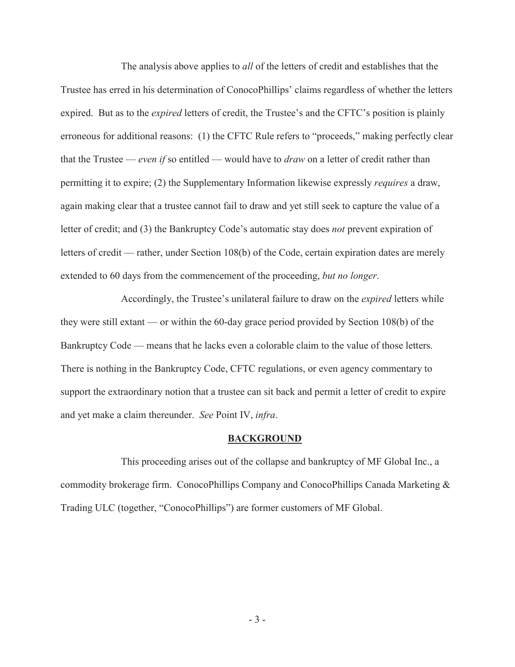The analysis above applies to *all* of the letters of credit and establishes that the Trustee has erred in his determination of ConocoPhillips' claims regardless of whether the letters expired. But as to the *expired* letters of credit, the Trustee's and the CFTC's position is plainly erroneous for additional reasons: (1) the CFTC Rule refers to "proceeds," making perfectly clear that the Trustee — *even if* so entitled — would have to *draw* on a letter of credit rather than permitting it to expire; (2) the Supplementary Information likewise expressly *requires* a draw, again making clear that a trustee cannot fail to draw and yet still seek to capture the value of a letter of credit; and (3) the Bankruptcy Code's automatic stay does *not* prevent expiration of letters of credit — rather, under Section 108(b) of the Code, certain expiration dates are merely extended to 60 days from the commencement of the proceeding, *but no longer*.

Accordingly, the Trustee's unilateral failure to draw on the *expired* letters while they were still extant — or within the 60-day grace period provided by Section 108(b) of the Bankruptcy Code — means that he lacks even a colorable claim to the value of those letters. There is nothing in the Bankruptcy Code, CFTC regulations, or even agency commentary to support the extraordinary notion that a trustee can sit back and permit a letter of credit to expire and yet make a claim thereunder. *See* Point IV, *infra*.

#### **BACKGROUND**

This proceeding arises out of the collapse and bankruptcy of MF Global Inc., a commodity brokerage firm. ConocoPhillips Company and ConocoPhillips Canada Marketing & Trading ULC (together, "ConocoPhillips") are former customers of MF Global.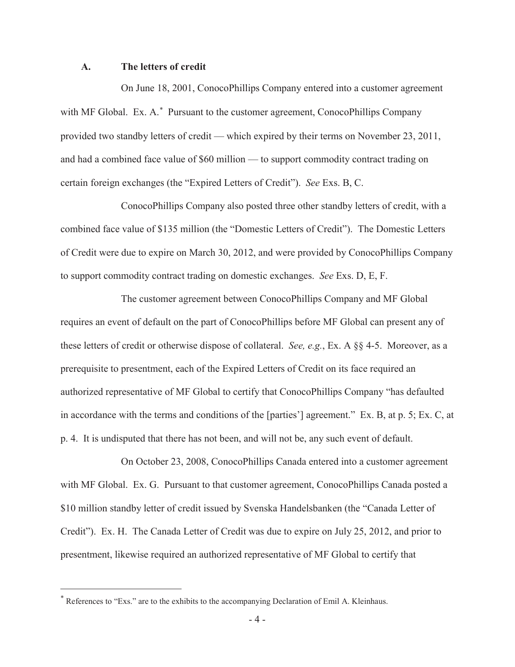#### **A. The letters of credit**

On June 18, 2001, ConocoPhillips Company entered into a customer agreement with MF Global. Ex. A.<sup>\*</sup> Pursuant to the customer agreement, ConocoPhillips Company provided two standby letters of credit — which expired by their terms on November 23, 2011, and had a combined face value of \$60 million — to support commodity contract trading on certain foreign exchanges (the "Expired Letters of Credit"). *See* Exs. B, C.

ConocoPhillips Company also posted three other standby letters of credit, with a combined face value of \$135 million (the "Domestic Letters of Credit"). The Domestic Letters of Credit were due to expire on March 30, 2012, and were provided by ConocoPhillips Company to support commodity contract trading on domestic exchanges. *See* Exs. D, E, F.

The customer agreement between ConocoPhillips Company and MF Global requires an event of default on the part of ConocoPhillips before MF Global can present any of these letters of credit or otherwise dispose of collateral. *See, e.g.*, Ex. A §§ 4-5. Moreover, as a prerequisite to presentment, each of the Expired Letters of Credit on its face required an authorized representative of MF Global to certify that ConocoPhillips Company "has defaulted in accordance with the terms and conditions of the [parties'] agreement." Ex. B, at p. 5; Ex. C, at p. 4. It is undisputed that there has not been, and will not be, any such event of default.

On October 23, 2008, ConocoPhillips Canada entered into a customer agreement with MF Global. Ex. G. Pursuant to that customer agreement, ConocoPhillips Canada posted a \$10 million standby letter of credit issued by Svenska Handelsbanken (the "Canada Letter of Credit"). Ex. H. The Canada Letter of Credit was due to expire on July 25, 2012, and prior to presentment, likewise required an authorized representative of MF Global to certify that

 References to "Exs." are to the exhibits to the accompanying Declaration of Emil A. Kleinhaus.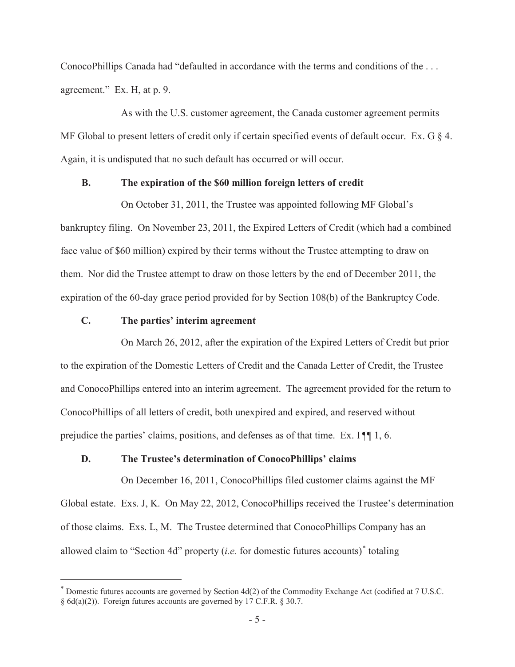ConocoPhillips Canada had "defaulted in accordance with the terms and conditions of the . . . agreement." Ex. H, at p. 9.

As with the U.S. customer agreement, the Canada customer agreement permits MF Global to present letters of credit only if certain specified events of default occur. Ex. G  $\S$  4. Again, it is undisputed that no such default has occurred or will occur.

#### **B. The expiration of the \$60 million foreign letters of credit**

On October 31, 2011, the Trustee was appointed following MF Global's bankruptcy filing. On November 23, 2011, the Expired Letters of Credit (which had a combined face value of \$60 million) expired by their terms without the Trustee attempting to draw on them. Nor did the Trustee attempt to draw on those letters by the end of December 2011, the expiration of the 60-day grace period provided for by Section 108(b) of the Bankruptcy Code.

#### **C. The parties' interim agreement**

On March 26, 2012, after the expiration of the Expired Letters of Credit but prior to the expiration of the Domestic Letters of Credit and the Canada Letter of Credit, the Trustee and ConocoPhillips entered into an interim agreement. The agreement provided for the return to ConocoPhillips of all letters of credit, both unexpired and expired, and reserved without prejudice the parties' claims, positions, and defenses as of that time. Ex. I ¶¶ 1, 6.

## **D. The Trustee's determination of ConocoPhillips' claims**

On December 16, 2011, ConocoPhillips filed customer claims against the MF Global estate. Exs. J, K. On May 22, 2012, ConocoPhillips received the Trustee's determination of those claims. Exs. L, M. The Trustee determined that ConocoPhillips Company has an allowed claim to "Section 4d" property *(i.e.* for domestic futures accounts)<sup>\*</sup> totaling

 $*$  Domestic futures accounts are governed by Section 4d(2) of the Commodity Exchange Act (codified at 7 U.S.C. § 6d(a)(2)). Foreign futures accounts are governed by 17 C.F.R. § 30.7.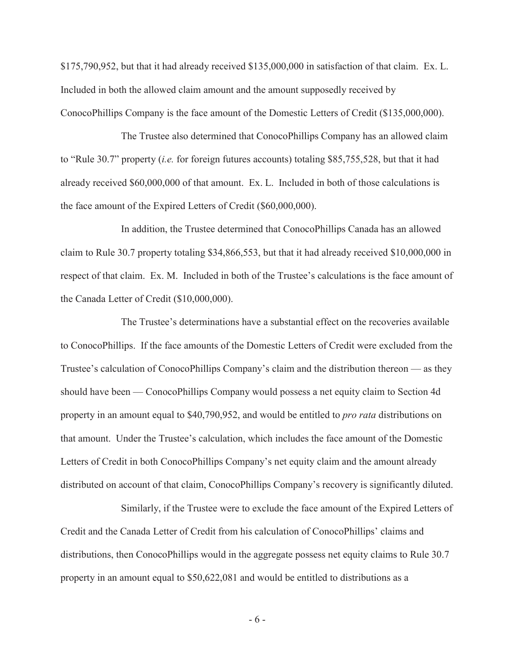\$175,790,952, but that it had already received \$135,000,000 in satisfaction of that claim. Ex. L. Included in both the allowed claim amount and the amount supposedly received by ConocoPhillips Company is the face amount of the Domestic Letters of Credit (\$135,000,000).

The Trustee also determined that ConocoPhillips Company has an allowed claim to "Rule 30.7" property (*i.e.* for foreign futures accounts) totaling \$85,755,528, but that it had already received \$60,000,000 of that amount. Ex. L. Included in both of those calculations is the face amount of the Expired Letters of Credit (\$60,000,000).

In addition, the Trustee determined that ConocoPhillips Canada has an allowed claim to Rule 30.7 property totaling \$34,866,553, but that it had already received \$10,000,000 in respect of that claim. Ex. M. Included in both of the Trustee's calculations is the face amount of the Canada Letter of Credit (\$10,000,000).

The Trustee's determinations have a substantial effect on the recoveries available to ConocoPhillips. If the face amounts of the Domestic Letters of Credit were excluded from the Trustee's calculation of ConocoPhillips Company's claim and the distribution thereon — as they should have been — ConocoPhillips Company would possess a net equity claim to Section 4d property in an amount equal to \$40,790,952, and would be entitled to *pro rata* distributions on that amount. Under the Trustee's calculation, which includes the face amount of the Domestic Letters of Credit in both ConocoPhillips Company's net equity claim and the amount already distributed on account of that claim, ConocoPhillips Company's recovery is significantly diluted.

Similarly, if the Trustee were to exclude the face amount of the Expired Letters of Credit and the Canada Letter of Credit from his calculation of ConocoPhillips' claims and distributions, then ConocoPhillips would in the aggregate possess net equity claims to Rule 30.7 property in an amount equal to \$50,622,081 and would be entitled to distributions as a

-6-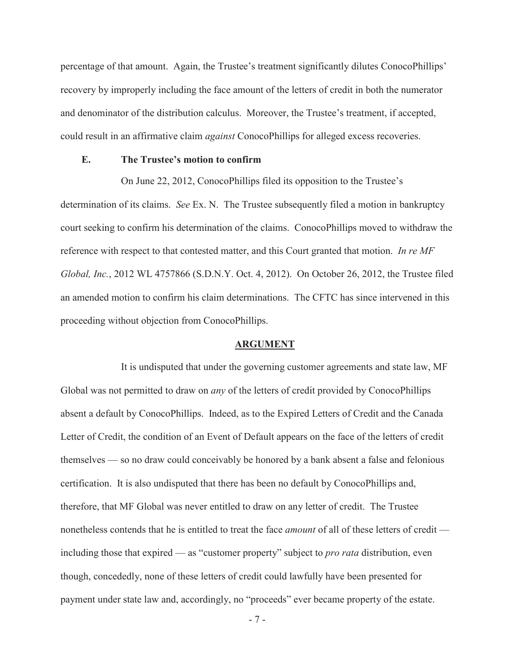percentage of that amount. Again, the Trustee's treatment significantly dilutes ConocoPhillips' recovery by improperly including the face amount of the letters of credit in both the numerator and denominator of the distribution calculus. Moreover, the Trustee's treatment, if accepted, could result in an affirmative claim *against* ConocoPhillips for alleged excess recoveries.

#### **E. The Trustee's motion to confirm**

On June 22, 2012, ConocoPhillips filed its opposition to the Trustee's determination of its claims. *See* Ex. N. The Trustee subsequently filed a motion in bankruptcy court seeking to confirm his determination of the claims. ConocoPhillips moved to withdraw the reference with respect to that contested matter, and this Court granted that motion. *In re MF Global, Inc.*, 2012 WL 4757866 (S.D.N.Y. Oct. 4, 2012). On October 26, 2012, the Trustee filed an amended motion to confirm his claim determinations. The CFTC has since intervened in this proceeding without objection from ConocoPhillips.

#### **ARGUMENT**

It is undisputed that under the governing customer agreements and state law, MF Global was not permitted to draw on *any* of the letters of credit provided by ConocoPhillips absent a default by ConocoPhillips. Indeed, as to the Expired Letters of Credit and the Canada Letter of Credit, the condition of an Event of Default appears on the face of the letters of credit themselves — so no draw could conceivably be honored by a bank absent a false and felonious certification. It is also undisputed that there has been no default by ConocoPhillips and, therefore, that MF Global was never entitled to draw on any letter of credit. The Trustee nonetheless contends that he is entitled to treat the face *amount* of all of these letters of credit including those that expired — as "customer property" subject to *pro rata* distribution, even though, concededly, none of these letters of credit could lawfully have been presented for payment under state law and, accordingly, no "proceeds" ever became property of the estate.

-7-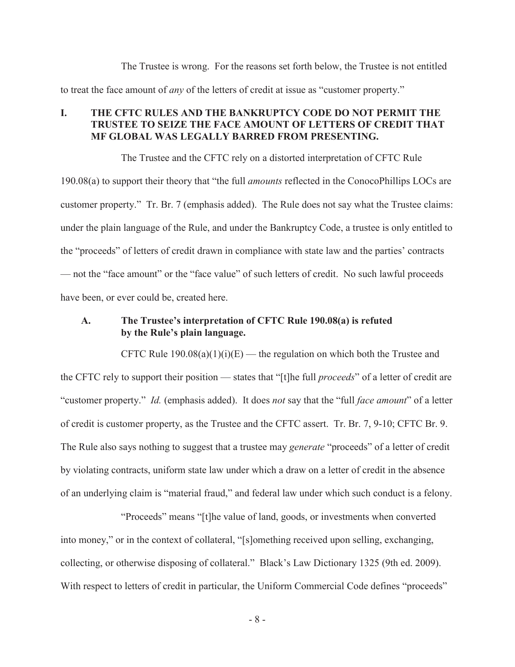The Trustee is wrong. For the reasons set forth below, the Trustee is not entitled to treat the face amount of *any* of the letters of credit at issue as "customer property."

## **I. THE CFTC RULES AND THE BANKRUPTCY CODE DO NOT PERMIT THE TRUSTEE TO SEIZE THE FACE AMOUNT OF LETTERS OF CREDIT THAT MF GLOBAL WAS LEGALLY BARRED FROM PRESENTING.**

The Trustee and the CFTC rely on a distorted interpretation of CFTC Rule 190.08(a) to support their theory that "the full *amounts* reflected in the ConocoPhillips LOCs are customer property." Tr. Br. 7 (emphasis added). The Rule does not say what the Trustee claims: under the plain language of the Rule, and under the Bankruptcy Code, a trustee is only entitled to the "proceeds" of letters of credit drawn in compliance with state law and the parties' contracts — not the "face amount" or the "face value" of such letters of credit. No such lawful proceeds have been, or ever could be, created here.

## **A. The Trustee's interpretation of CFTC Rule 190.08(a) is refuted by the Rule's plain language.**

CFTC Rule  $190.08(a)(1)(i)(E)$  — the regulation on which both the Trustee and the CFTC rely to support their position — states that "[t]he full *proceeds*" of a letter of credit are "customer property." *Id.* (emphasis added). It does *not* say that the "full *face amount*" of a letter of credit is customer property, as the Trustee and the CFTC assert. Tr. Br. 7, 9-10; CFTC Br. 9. The Rule also says nothing to suggest that a trustee may *generate* "proceeds" of a letter of credit by violating contracts, uniform state law under which a draw on a letter of credit in the absence of an underlying claim is "material fraud," and federal law under which such conduct is a felony.

"Proceeds" means "[t]he value of land, goods, or investments when converted into money," or in the context of collateral, "[s]omething received upon selling, exchanging, collecting, or otherwise disposing of collateral." Black's Law Dictionary 1325 (9th ed. 2009). With respect to letters of credit in particular, the Uniform Commercial Code defines "proceeds"

-8-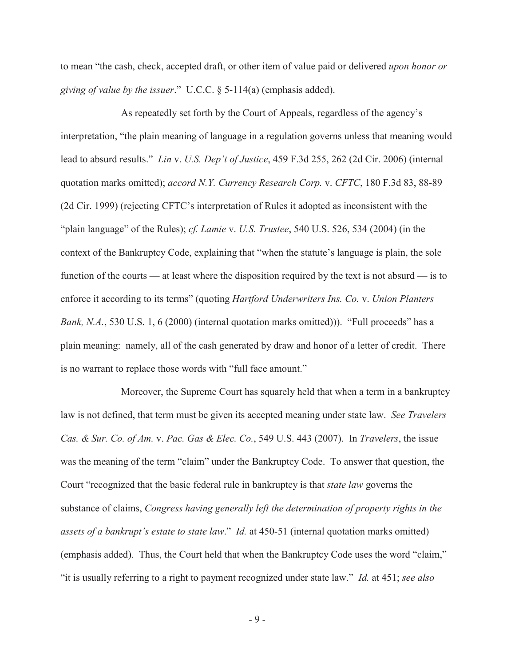to mean "the cash, check, accepted draft, or other item of value paid or delivered *upon honor or giving of value by the issuer*." U.C.C. § 5-114(a) (emphasis added).

As repeatedly set forth by the Court of Appeals, regardless of the agency's interpretation, "the plain meaning of language in a regulation governs unless that meaning would lead to absurd results." *Lin* v. *U.S. Dep't of Justice*, 459 F.3d 255, 262 (2d Cir. 2006) (internal quotation marks omitted); *accord N.Y. Currency Research Corp.* v. *CFTC*, 180 F.3d 83, 88-89 (2d Cir. 1999) (rejecting CFTC's interpretation of Rules it adopted as inconsistent with the "plain language" of the Rules); *cf. Lamie* v. *U.S. Trustee*, 540 U.S. 526, 534 (2004) (in the context of the Bankruptcy Code, explaining that "when the statute's language is plain, the sole function of the courts — at least where the disposition required by the text is not absurd — is to enforce it according to its terms" (quoting *Hartford Underwriters Ins. Co.* v. *Union Planters Bank, N.A.*, 530 U.S. 1, 6 (2000) (internal quotation marks omitted))). "Full proceeds" has a plain meaning: namely, all of the cash generated by draw and honor of a letter of credit. There is no warrant to replace those words with "full face amount."

Moreover, the Supreme Court has squarely held that when a term in a bankruptcy law is not defined, that term must be given its accepted meaning under state law. *See Travelers Cas. & Sur. Co. of Am.* v. *Pac. Gas & Elec. Co.*, 549 U.S. 443 (2007). In *Travelers*, the issue was the meaning of the term "claim" under the Bankruptcy Code. To answer that question, the Court "recognized that the basic federal rule in bankruptcy is that *state law* governs the substance of claims, *Congress having generally left the determination of property rights in the assets of a bankrupt's estate to state law*." *Id.* at 450-51 (internal quotation marks omitted) (emphasis added). Thus, the Court held that when the Bankruptcy Code uses the word "claim," "it is usually referring to a right to payment recognized under state law." *Id.* at 451; *see also* 

-9-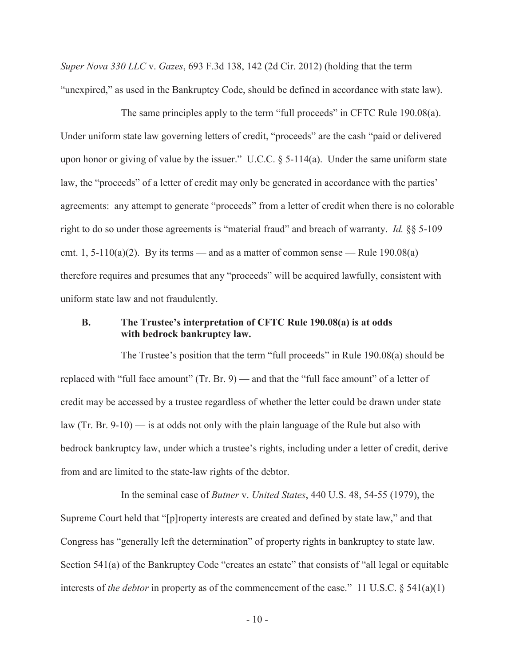*Super Nova 330 LLC* v. *Gazes*, 693 F.3d 138, 142 (2d Cir. 2012) (holding that the term "unexpired," as used in the Bankruptcy Code, should be defined in accordance with state law).

The same principles apply to the term "full proceeds" in CFTC Rule 190.08(a). Under uniform state law governing letters of credit, "proceeds" are the cash "paid or delivered upon honor or giving of value by the issuer." U.C.C.  $\S$  5-114(a). Under the same uniform state law, the "proceeds" of a letter of credit may only be generated in accordance with the parties' agreements: any attempt to generate "proceeds" from a letter of credit when there is no colorable right to do so under those agreements is "material fraud" and breach of warranty. *Id.* §§ 5-109 cmt. 1, 5-110(a)(2). By its terms — and as a matter of common sense — Rule  $190.08(a)$ therefore requires and presumes that any "proceeds" will be acquired lawfully, consistent with uniform state law and not fraudulently.

#### **B. The Trustee's interpretation of CFTC Rule 190.08(a) is at odds with bedrock bankruptcy law.**

The Trustee's position that the term "full proceeds" in Rule 190.08(a) should be replaced with "full face amount" (Tr. Br. 9) — and that the "full face amount" of a letter of credit may be accessed by a trustee regardless of whether the letter could be drawn under state law (Tr. Br. 9-10) — is at odds not only with the plain language of the Rule but also with bedrock bankruptcy law, under which a trustee's rights, including under a letter of credit, derive from and are limited to the state-law rights of the debtor.

In the seminal case of *Butner* v. *United States*, 440 U.S. 48, 54-55 (1979), the Supreme Court held that "[p]roperty interests are created and defined by state law," and that Congress has "generally left the determination" of property rights in bankruptcy to state law. Section 541(a) of the Bankruptcy Code "creates an estate" that consists of "all legal or equitable interests of *the debtor* in property as of the commencement of the case." 11 U.S.C. § 541(a)(1)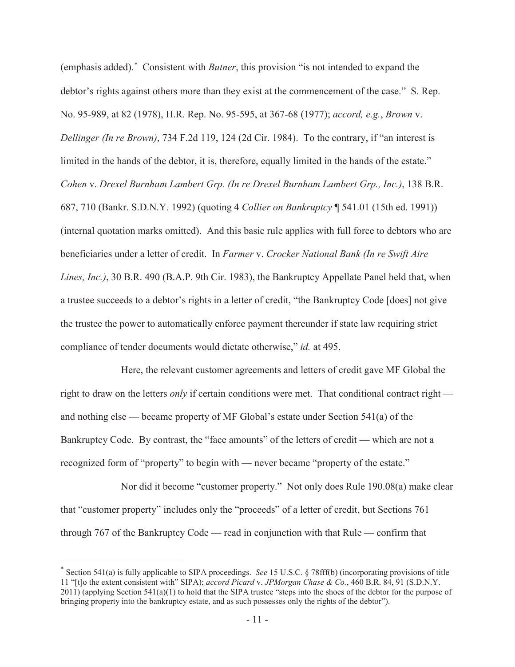(emphasis added). Consistent with *Butner*, this provision "is not intended to expand the debtor's rights against others more than they exist at the commencement of the case." S. Rep. No. 95-989, at 82 (1978), H.R. Rep. No. 95-595, at 367-68 (1977); *accord, e.g.*, *Brown* v. *Dellinger (In re Brown)*, 734 F.2d 119, 124 (2d Cir. 1984). To the contrary, if "an interest is limited in the hands of the debtor, it is, therefore, equally limited in the hands of the estate." *Cohen* v. *Drexel Burnham Lambert Grp. (In re Drexel Burnham Lambert Grp., Inc.)*, 138 B.R. 687, 710 (Bankr. S.D.N.Y. 1992) (quoting 4 *Collier on Bankruptcy* ¶ 541.01 (15th ed. 1991)) (internal quotation marks omitted). And this basic rule applies with full force to debtors who are beneficiaries under a letter of credit. In *Farmer* v. *Crocker National Bank (In re Swift Aire Lines, Inc.)*, 30 B.R. 490 (B.A.P. 9th Cir. 1983), the Bankruptcy Appellate Panel held that, when a trustee succeeds to a debtor's rights in a letter of credit, "the Bankruptcy Code [does] not give the trustee the power to automatically enforce payment thereunder if state law requiring strict compliance of tender documents would dictate otherwise," *id.* at 495.

Here, the relevant customer agreements and letters of credit gave MF Global the right to draw on the letters *only* if certain conditions were met. That conditional contract right and nothing else — became property of MF Global's estate under Section 541(a) of the Bankruptcy Code. By contrast, the "face amounts" of the letters of credit — which are not a recognized form of "property" to begin with — never became "property of the estate."

Nor did it become "customer property." Not only does Rule 190.08(a) make clear that "customer property" includes only the "proceeds" of a letter of credit, but Sections 761 through 767 of the Bankruptcy Code — read in conjunction with that Rule — confirm that

 Section 541(a) is fully applicable to SIPA proceedings. *See* 15 U.S.C. § 78fff(b) (incorporating provisions of title 11 "[t]o the extent consistent with" SIPA); *accord Picard* v. *JPMorgan Chase & Co.*, 460 B.R. 84, 91 (S.D.N.Y.  $2011$ ) (applying Section  $541(a)(1)$  to hold that the SIPA trustee "steps into the shoes of the debtor for the purpose of bringing property into the bankruptcy estate, and as such possesses only the rights of the debtor").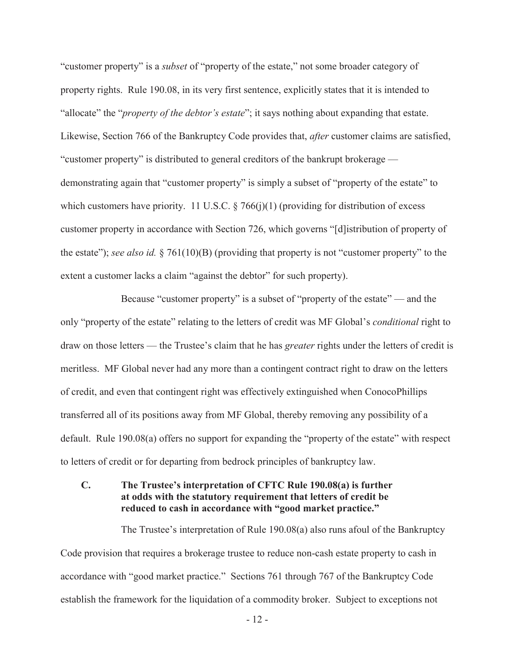"customer property" is a *subset* of "property of the estate," not some broader category of property rights. Rule 190.08, in its very first sentence, explicitly states that it is intended to "allocate" the "*property of the debtor's estate*"; it says nothing about expanding that estate. Likewise, Section 766 of the Bankruptcy Code provides that, *after* customer claims are satisfied, "customer property" is distributed to general creditors of the bankrupt brokerage demonstrating again that "customer property" is simply a subset of "property of the estate" to which customers have priority. 11 U.S.C.  $\S$  766(j)(1) (providing for distribution of excess customer property in accordance with Section 726, which governs "[d]istribution of property of the estate"); *see also id.* § 761(10)(B) (providing that property is not "customer property" to the extent a customer lacks a claim "against the debtor" for such property).

Because "customer property" is a subset of "property of the estate" — and the only "property of the estate" relating to the letters of credit was MF Global's *conditional* right to draw on those letters — the Trustee's claim that he has *greater* rights under the letters of credit is meritless. MF Global never had any more than a contingent contract right to draw on the letters of credit, and even that contingent right was effectively extinguished when ConocoPhillips transferred all of its positions away from MF Global, thereby removing any possibility of a default. Rule 190.08(a) offers no support for expanding the "property of the estate" with respect to letters of credit or for departing from bedrock principles of bankruptcy law.

## **C. The Trustee's interpretation of CFTC Rule 190.08(a) is further at odds with the statutory requirement that letters of credit be reduced to cash in accordance with "good market practice."**

The Trustee's interpretation of Rule 190.08(a) also runs afoul of the Bankruptcy Code provision that requires a brokerage trustee to reduce non-cash estate property to cash in accordance with "good market practice." Sections 761 through 767 of the Bankruptcy Code establish the framework for the liquidation of a commodity broker. Subject to exceptions not

- 12 -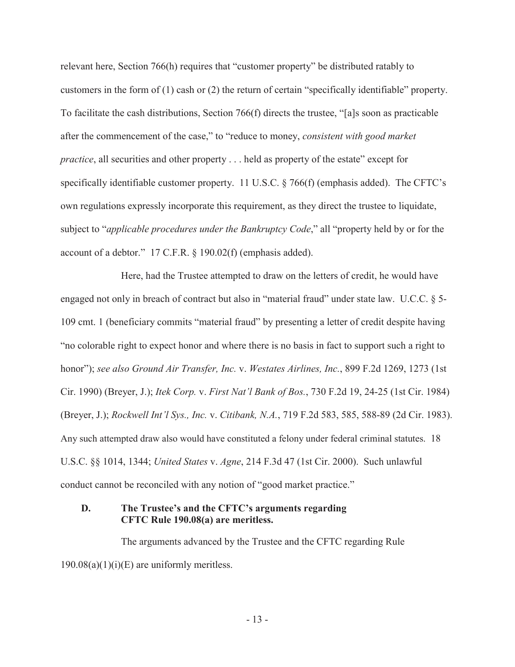relevant here, Section 766(h) requires that "customer property" be distributed ratably to customers in the form of (1) cash or (2) the return of certain "specifically identifiable" property. To facilitate the cash distributions, Section 766(f) directs the trustee, "[a]s soon as practicable after the commencement of the case," to "reduce to money, *consistent with good market practice*, all securities and other property . . . held as property of the estate" except for specifically identifiable customer property. 11 U.S.C. § 766(f) (emphasis added). The CFTC's own regulations expressly incorporate this requirement, as they direct the trustee to liquidate, subject to "*applicable procedures under the Bankruptcy Code*," all "property held by or for the account of a debtor." 17 C.F.R. § 190.02(f) (emphasis added).

Here, had the Trustee attempted to draw on the letters of credit, he would have engaged not only in breach of contract but also in "material fraud" under state law. U.C.C. § 5- 109 cmt. 1 (beneficiary commits "material fraud" by presenting a letter of credit despite having "no colorable right to expect honor and where there is no basis in fact to support such a right to honor"); *see also Ground Air Transfer, Inc.* v. *Westates Airlines, Inc.*, 899 F.2d 1269, 1273 (1st Cir. 1990) (Breyer, J.); *Itek Corp.* v. *First Nat'l Bank of Bos.*, 730 F.2d 19, 24-25 (1st Cir. 1984) (Breyer, J.); *Rockwell Int'l Sys., Inc.* v. *Citibank, N.A.*, 719 F.2d 583, 585, 588-89 (2d Cir. 1983). Any such attempted draw also would have constituted a felony under federal criminal statutes. 18 U.S.C. §§ 1014, 1344; *United States* v. *Agne*, 214 F.3d 47 (1st Cir. 2000). Such unlawful conduct cannot be reconciled with any notion of "good market practice."

#### **D. The Trustee's and the CFTC's arguments regarding CFTC Rule 190.08(a) are meritless.**

The arguments advanced by the Trustee and the CFTC regarding Rule  $190.08(a)(1)(i)(E)$  are uniformly meritless.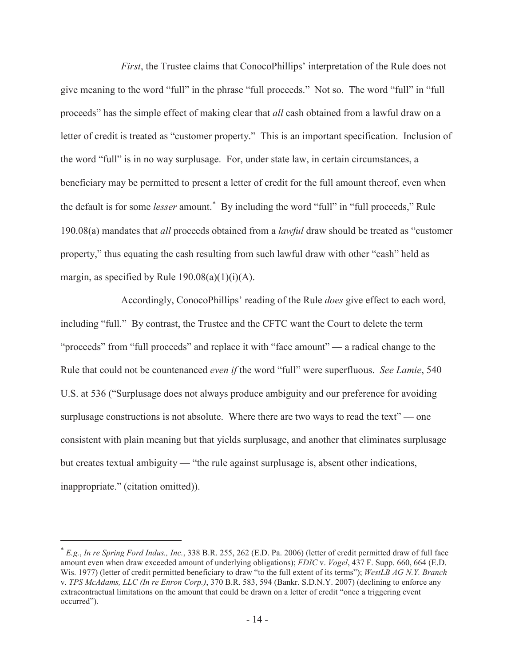*First*, the Trustee claims that ConocoPhillips' interpretation of the Rule does not give meaning to the word "full" in the phrase "full proceeds." Not so. The word "full" in "full proceeds" has the simple effect of making clear that *all* cash obtained from a lawful draw on a letter of credit is treated as "customer property." This is an important specification. Inclusion of the word "full" is in no way surplusage. For, under state law, in certain circumstances, a beneficiary may be permitted to present a letter of credit for the full amount thereof, even when the default is for some *lesser* amount.<sup>\*</sup> By including the word "full" in "full proceeds," Rule 190.08(a) mandates that *all* proceeds obtained from a *lawful* draw should be treated as "customer property," thus equating the cash resulting from such lawful draw with other "cash" held as margin, as specified by Rule  $190.08(a)(1)(i)(A)$ .

Accordingly, ConocoPhillips' reading of the Rule *does* give effect to each word, including "full." By contrast, the Trustee and the CFTC want the Court to delete the term "proceeds" from "full proceeds" and replace it with "face amount" — a radical change to the Rule that could not be countenanced *even if* the word "full" were superfluous. *See Lamie*, 540 U.S. at 536 ("Surplusage does not always produce ambiguity and our preference for avoiding surplusage constructions is not absolute. Where there are two ways to read the text" — one consistent with plain meaning but that yields surplusage, and another that eliminates surplusage but creates textual ambiguity — "the rule against surplusage is, absent other indications, inappropriate." (citation omitted)).

 *E.g.*, *In re Spring Ford Indus., Inc.*, 338 B.R. 255, 262 (E.D. Pa. 2006) (letter of credit permitted draw of full face amount even when draw exceeded amount of underlying obligations); *FDIC* v. *Vogel*, 437 F. Supp. 660, 664 (E.D. Wis. 1977) (letter of credit permitted beneficiary to draw "to the full extent of its terms"); *WestLB AG N.Y. Branch* v. *TPS McAdams, LLC (In re Enron Corp.)*, 370 B.R. 583, 594 (Bankr. S.D.N.Y. 2007) (declining to enforce any extracontractual limitations on the amount that could be drawn on a letter of credit "once a triggering event occurred").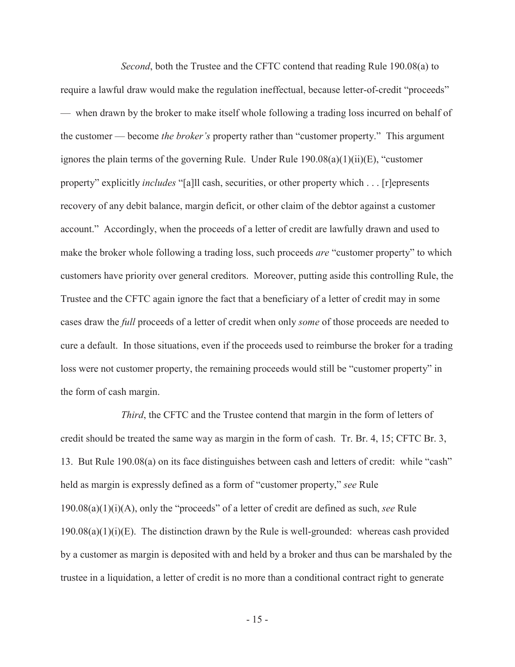*Second*, both the Trustee and the CFTC contend that reading Rule 190.08(a) to require a lawful draw would make the regulation ineffectual, because letter-of-credit "proceeds" — when drawn by the broker to make itself whole following a trading loss incurred on behalf of the customer — become *the broker's* property rather than "customer property." This argument ignores the plain terms of the governing Rule. Under Rule  $190.08(a)(1)(ii)(E)$ , "customer property" explicitly *includes* "[a]ll cash, securities, or other property which . . . [r]epresents recovery of any debit balance, margin deficit, or other claim of the debtor against a customer account." Accordingly, when the proceeds of a letter of credit are lawfully drawn and used to make the broker whole following a trading loss, such proceeds *are* "customer property" to which customers have priority over general creditors. Moreover, putting aside this controlling Rule, the Trustee and the CFTC again ignore the fact that a beneficiary of a letter of credit may in some cases draw the *full* proceeds of a letter of credit when only *some* of those proceeds are needed to cure a default. In those situations, even if the proceeds used to reimburse the broker for a trading loss were not customer property, the remaining proceeds would still be "customer property" in the form of cash margin.

*Third*, the CFTC and the Trustee contend that margin in the form of letters of credit should be treated the same way as margin in the form of cash. Tr. Br. 4, 15; CFTC Br. 3, 13. But Rule 190.08(a) on its face distinguishes between cash and letters of credit: while "cash" held as margin is expressly defined as a form of "customer property," *see* Rule 190.08(a)(1)(i)(A), only the "proceeds" of a letter of credit are defined as such, *see* Rule  $190.08(a)(1)(i)(E)$ . The distinction drawn by the Rule is well-grounded: whereas cash provided by a customer as margin is deposited with and held by a broker and thus can be marshaled by the trustee in a liquidation, a letter of credit is no more than a conditional contract right to generate

- 15 -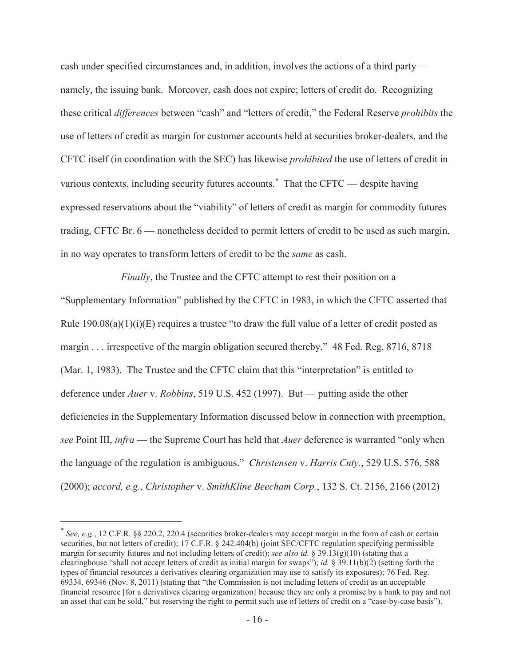cash under specified circumstances and, in addition, involves the actions of a third party namely, the issuing bank. Moreover, cash does not expire; letters of credit do. Recognizing these critical *differences* between "cash" and "letters of credit," the Federal Reserve *prohibits* the use of letters of credit as margin for customer accounts held at securities broker-dealers, and the CFTC itself (in coordination with the SEC) has likewise *prohibited* the use of letters of credit in various contexts, including security futures accounts.<sup>\*</sup> That the CFTC — despite having expressed reservations about the "viability" of letters of credit as margin for commodity futures trading, CFTC Br. 6 — nonetheless decided to permit letters of credit to be used as such margin, in no way operates to transform letters of credit to be the *same* as cash.

*Finally*, the Trustee and the CFTC attempt to rest their position on a "Supplementary Information" published by the CFTC in 1983, in which the CFTC asserted that Rule  $190.08(a)(1)(i)(E)$  requires a trustee "to draw the full value of a letter of credit posted as margin . . . irrespective of the margin obligation secured thereby." 48 Fed. Reg. 8716, 8718 (Mar. 1, 1983). The Trustee and the CFTC claim that this "interpretation" is entitled to deference under *Auer* v. *Robbins*, 519 U.S. 452 (1997). But — putting aside the other deficiencies in the Supplementary Information discussed below in connection with preemption, *see* Point III, *infra* — the Supreme Court has held that *Auer* deference is warranted "only when the language of the regulation is ambiguous." *Christensen* v. *Harris Cnty.*, 529 U.S. 576, 588 (2000); *accord, e.g.*, *Christopher* v. *SmithKline Beecham Corp.*, 132 S. Ct. 2156, 2166 (2012)

 *See, e.g.*, 12 C.F.R. §§ 220.2, 220.4 (securities broker-dealers may accept margin in the form of cash or certain securities, but not letters of credit); 17 C.F.R. § 242.404(b) (joint SEC/CFTC regulation specifying permissible margin for security futures and not including letters of credit); *see also id.* § 39.13(g)(10) (stating that a clearinghouse "shall not accept letters of credit as initial margin for swaps"); *id.* § 39.11(b)(2) (setting forth the types of financial resources a derivatives clearing organization may use to satisfy its exposures); 76 Fed. Reg. 69334, 69346 (Nov. 8, 2011) (stating that "the Commission is not including letters of credit as an acceptable financial resource [for a derivatives clearing organization] because they are only a promise by a bank to pay and not an asset that can be sold," but reserving the right to permit such use of letters of credit on a "case-by-case basis").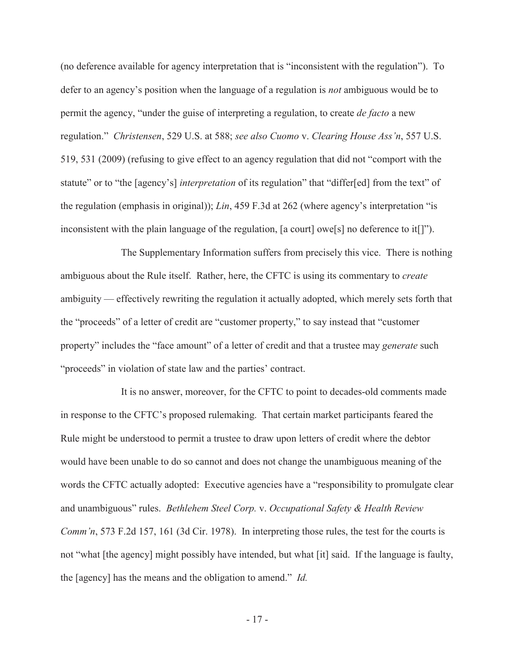(no deference available for agency interpretation that is "inconsistent with the regulation"). To defer to an agency's position when the language of a regulation is *not* ambiguous would be to permit the agency, "under the guise of interpreting a regulation, to create *de facto* a new regulation." *Christensen*, 529 U.S. at 588; *see also Cuomo* v. *Clearing House Ass'n*, 557 U.S. 519, 531 (2009) (refusing to give effect to an agency regulation that did not "comport with the statute" or to "the [agency's] *interpretation* of its regulation" that "differ[ed] from the text" of the regulation (emphasis in original)); *Lin*, 459 F.3d at 262 (where agency's interpretation "is inconsistent with the plain language of the regulation, [a court] owe[s] no deference to it[]").

The Supplementary Information suffers from precisely this vice. There is nothing ambiguous about the Rule itself. Rather, here, the CFTC is using its commentary to *create* ambiguity — effectively rewriting the regulation it actually adopted, which merely sets forth that the "proceeds" of a letter of credit are "customer property," to say instead that "customer property" includes the "face amount" of a letter of credit and that a trustee may *generate* such "proceeds" in violation of state law and the parties' contract.

It is no answer, moreover, for the CFTC to point to decades-old comments made in response to the CFTC's proposed rulemaking. That certain market participants feared the Rule might be understood to permit a trustee to draw upon letters of credit where the debtor would have been unable to do so cannot and does not change the unambiguous meaning of the words the CFTC actually adopted: Executive agencies have a "responsibility to promulgate clear and unambiguous" rules. *Bethlehem Steel Corp.* v. *Occupational Safety & Health Review Comm'n*, 573 F.2d 157, 161 (3d Cir. 1978). In interpreting those rules, the test for the courts is not "what [the agency] might possibly have intended, but what [it] said. If the language is faulty, the [agency] has the means and the obligation to amend." *Id.*

- 17 -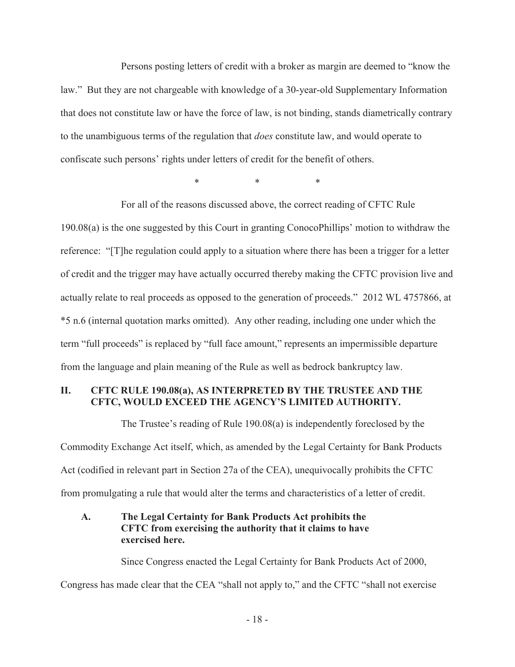Persons posting letters of credit with a broker as margin are deemed to "know the law." But they are not chargeable with knowledge of a 30-year-old Supplementary Information that does not constitute law or have the force of law, is not binding, stands diametrically contrary to the unambiguous terms of the regulation that *does* constitute law, and would operate to confiscate such persons' rights under letters of credit for the benefit of others.

\*\*\*

For all of the reasons discussed above, the correct reading of CFTC Rule 190.08(a) is the one suggested by this Court in granting ConocoPhillips' motion to withdraw the reference: "[T]he regulation could apply to a situation where there has been a trigger for a letter of credit and the trigger may have actually occurred thereby making the CFTC provision live and actually relate to real proceeds as opposed to the generation of proceeds." 2012 WL 4757866, at \*5 n.6 (internal quotation marks omitted). Any other reading, including one under which the term "full proceeds" is replaced by "full face amount," represents an impermissible departure from the language and plain meaning of the Rule as well as bedrock bankruptcy law.

#### **II. CFTC RULE 190.08(a), AS INTERPRETED BY THE TRUSTEE AND THE CFTC, WOULD EXCEED THE AGENCY'S LIMITED AUTHORITY.**

The Trustee's reading of Rule 190.08(a) is independently foreclosed by the Commodity Exchange Act itself, which, as amended by the Legal Certainty for Bank Products Act (codified in relevant part in Section 27a of the CEA), unequivocally prohibits the CFTC from promulgating a rule that would alter the terms and characteristics of a letter of credit.

## **A. The Legal Certainty for Bank Products Act prohibits the CFTC from exercising the authority that it claims to have exercised here.**

Since Congress enacted the Legal Certainty for Bank Products Act of 2000,

Congress has made clear that the CEA "shall not apply to," and the CFTC "shall not exercise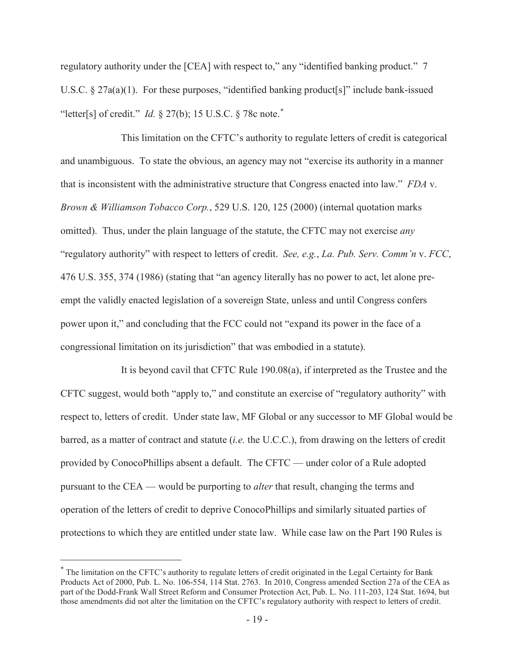regulatory authority under the [CEA] with respect to," any "identified banking product." 7 U.S.C. § 27a(a)(1). For these purposes, "identified banking product[s]" include bank-issued "letter[s] of credit." *Id.*  $\&$  27(b); 15 U.S.C.  $\&$  78c note.<sup>\*</sup>

This limitation on the CFTC's authority to regulate letters of credit is categorical and unambiguous. To state the obvious, an agency may not "exercise its authority in a manner that is inconsistent with the administrative structure that Congress enacted into law." *FDA* v. *Brown & Williamson Tobacco Corp.*, 529 U.S. 120, 125 (2000) (internal quotation marks omitted). Thus, under the plain language of the statute, the CFTC may not exercise *any*  "regulatory authority" with respect to letters of credit. *See, e.g.*, *La. Pub. Serv. Comm'n* v. *FCC*, 476 U.S. 355, 374 (1986) (stating that "an agency literally has no power to act, let alone preempt the validly enacted legislation of a sovereign State, unless and until Congress confers power upon it," and concluding that the FCC could not "expand its power in the face of a congressional limitation on its jurisdiction" that was embodied in a statute).

It is beyond cavil that CFTC Rule 190.08(a), if interpreted as the Trustee and the CFTC suggest, would both "apply to," and constitute an exercise of "regulatory authority" with respect to, letters of credit. Under state law, MF Global or any successor to MF Global would be barred, as a matter of contract and statute (*i.e.* the U.C.C.), from drawing on the letters of credit provided by ConocoPhillips absent a default. The CFTC — under color of a Rule adopted pursuant to the CEA — would be purporting to *alter* that result, changing the terms and operation of the letters of credit to deprive ConocoPhillips and similarly situated parties of protections to which they are entitled under state law. While case law on the Part 190 Rules is

 The limitation on the CFTC's authority to regulate letters of credit originated in the Legal Certainty for Bank Products Act of 2000, Pub. L. No. 106-554, 114 Stat. 2763. In 2010, Congress amended Section 27a of the CEA as part of the Dodd-Frank Wall Street Reform and Consumer Protection Act, Pub. L. No. 111-203, 124 Stat. 1694, but those amendments did not alter the limitation on the CFTC's regulatory authority with respect to letters of credit.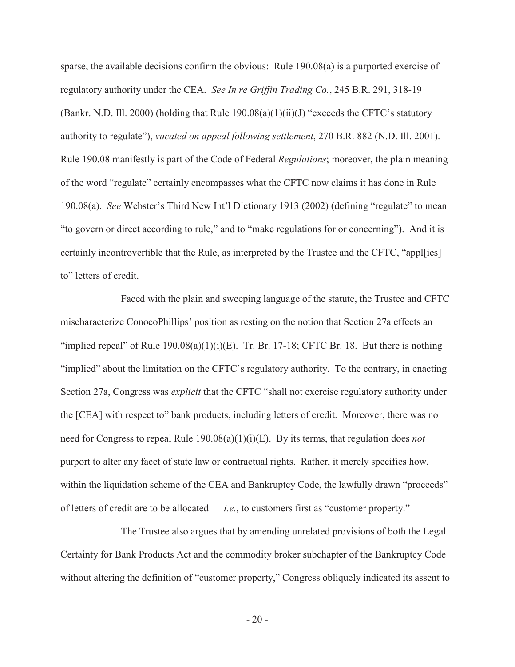sparse, the available decisions confirm the obvious: Rule 190.08(a) is a purported exercise of regulatory authority under the CEA. *See In re Griffin Trading Co.*, 245 B.R. 291, 318-19 (Bankr. N.D. Ill. 2000) (holding that Rule  $190.08(a)(1)(ii)(J)$  "exceeds the CFTC's statutory authority to regulate"), *vacated on appeal following settlement*, 270 B.R. 882 (N.D. Ill. 2001). Rule 190.08 manifestly is part of the Code of Federal *Regulations*; moreover, the plain meaning of the word "regulate" certainly encompasses what the CFTC now claims it has done in Rule 190.08(a). *See* Webster's Third New Int'l Dictionary 1913 (2002) (defining "regulate" to mean "to govern or direct according to rule," and to "make regulations for or concerning"). And it is certainly incontrovertible that the Rule, as interpreted by the Trustee and the CFTC, "appl[ies] to" letters of credit.

Faced with the plain and sweeping language of the statute, the Trustee and CFTC mischaracterize ConocoPhillips' position as resting on the notion that Section 27a effects an "implied repeal" of Rule  $190.08(a)(1)(i)(E)$ . Tr. Br. 17-18; CFTC Br. 18. But there is nothing "implied" about the limitation on the CFTC's regulatory authority. To the contrary, in enacting Section 27a, Congress was *explicit* that the CFTC "shall not exercise regulatory authority under the [CEA] with respect to" bank products, including letters of credit. Moreover, there was no need for Congress to repeal Rule 190.08(a)(1)(i)(E). By its terms, that regulation does *not* purport to alter any facet of state law or contractual rights. Rather, it merely specifies how, within the liquidation scheme of the CEA and Bankruptcy Code, the lawfully drawn "proceeds" of letters of credit are to be allocated — *i.e.*, to customers first as "customer property."

The Trustee also argues that by amending unrelated provisions of both the Legal Certainty for Bank Products Act and the commodity broker subchapter of the Bankruptcy Code without altering the definition of "customer property," Congress obliquely indicated its assent to

- 20 -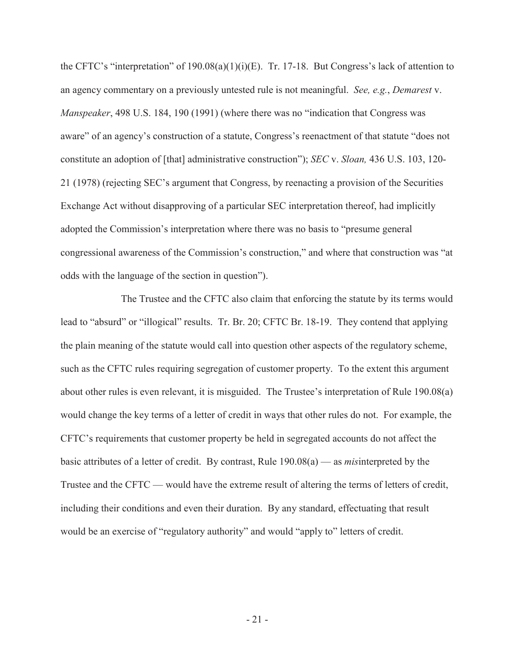the CFTC's "interpretation" of 190.08(a)(1)(i)(E). Tr. 17-18. But Congress's lack of attention to an agency commentary on a previously untested rule is not meaningful. *See, e.g.*, *Demarest* v. *Manspeaker*, 498 U.S. 184, 190 (1991) (where there was no "indication that Congress was aware" of an agency's construction of a statute, Congress's reenactment of that statute "does not constitute an adoption of [that] administrative construction"); *SEC* v. *Sloan,* 436 U.S. 103, 120- 21 (1978) (rejecting SEC's argument that Congress, by reenacting a provision of the Securities Exchange Act without disapproving of a particular SEC interpretation thereof, had implicitly adopted the Commission's interpretation where there was no basis to "presume general congressional awareness of the Commission's construction," and where that construction was "at odds with the language of the section in question").

The Trustee and the CFTC also claim that enforcing the statute by its terms would lead to "absurd" or "illogical" results. Tr. Br. 20; CFTC Br. 18-19. They contend that applying the plain meaning of the statute would call into question other aspects of the regulatory scheme, such as the CFTC rules requiring segregation of customer property. To the extent this argument about other rules is even relevant, it is misguided. The Trustee's interpretation of Rule 190.08(a) would change the key terms of a letter of credit in ways that other rules do not. For example, the CFTC's requirements that customer property be held in segregated accounts do not affect the basic attributes of a letter of credit. By contrast, Rule 190.08(a) — as *mis*interpreted by the Trustee and the CFTC — would have the extreme result of altering the terms of letters of credit, including their conditions and even their duration. By any standard, effectuating that result would be an exercise of "regulatory authority" and would "apply to" letters of credit.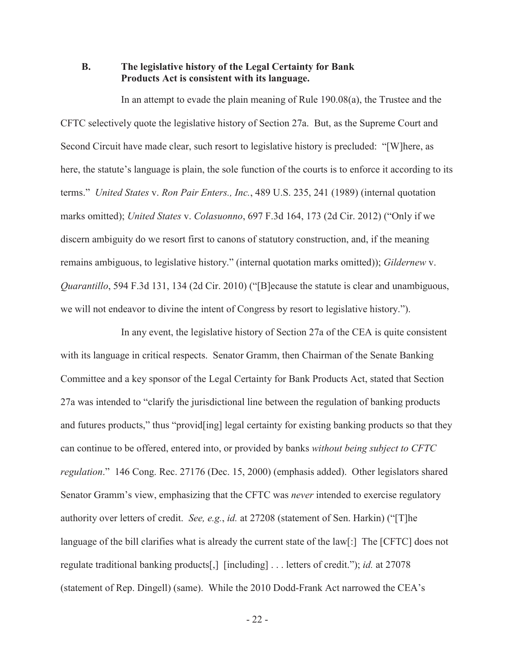#### **B. The legislative history of the Legal Certainty for Bank Products Act is consistent with its language.**

In an attempt to evade the plain meaning of Rule 190.08(a), the Trustee and the CFTC selectively quote the legislative history of Section 27a. But, as the Supreme Court and Second Circuit have made clear, such resort to legislative history is precluded: "[W]here, as here, the statute's language is plain, the sole function of the courts is to enforce it according to its terms." *United States* v. *Ron Pair Enters., Inc.*, 489 U.S. 235, 241 (1989) (internal quotation marks omitted); *United States* v. *Colasuonno*, 697 F.3d 164, 173 (2d Cir. 2012) ("Only if we discern ambiguity do we resort first to canons of statutory construction, and, if the meaning remains ambiguous, to legislative history." (internal quotation marks omitted)); *Gildernew* v. *Quarantillo*, 594 F.3d 131, 134 (2d Cir. 2010) ("[B]ecause the statute is clear and unambiguous, we will not endeavor to divine the intent of Congress by resort to legislative history.").

In any event, the legislative history of Section 27a of the CEA is quite consistent with its language in critical respects. Senator Gramm, then Chairman of the Senate Banking Committee and a key sponsor of the Legal Certainty for Bank Products Act, stated that Section 27a was intended to "clarify the jurisdictional line between the regulation of banking products and futures products," thus "provid[ing] legal certainty for existing banking products so that they can continue to be offered, entered into, or provided by banks *without being subject to CFTC regulation*." 146 Cong. Rec. 27176 (Dec. 15, 2000) (emphasis added). Other legislators shared Senator Gramm's view, emphasizing that the CFTC was *never* intended to exercise regulatory authority over letters of credit. *See, e.g.*, *id.* at 27208 (statement of Sen. Harkin) ("[T]he language of the bill clarifies what is already the current state of the law[:] The [CFTC] does not regulate traditional banking products[,] [including] . . . letters of credit."); *id.* at 27078 (statement of Rep. Dingell) (same). While the 2010 Dodd-Frank Act narrowed the CEA's

- 22 -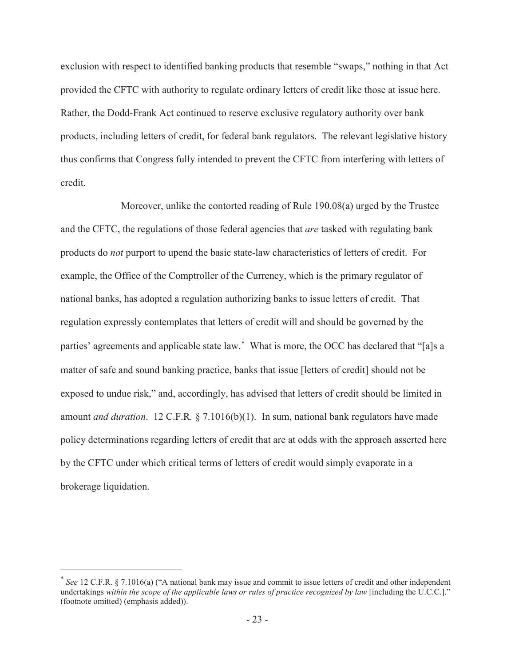exclusion with respect to identified banking products that resemble "swaps," nothing in that Act provided the CFTC with authority to regulate ordinary letters of credit like those at issue here. Rather, the Dodd-Frank Act continued to reserve exclusive regulatory authority over bank products, including letters of credit, for federal bank regulators. The relevant legislative history thus confirms that Congress fully intended to prevent the CFTC from interfering with letters of credit.

Moreover, unlike the contorted reading of Rule 190.08(a) urged by the Trustee and the CFTC, the regulations of those federal agencies that *are* tasked with regulating bank products do *not* purport to upend the basic state-law characteristics of letters of credit. For example, the Office of the Comptroller of the Currency, which is the primary regulator of national banks, has adopted a regulation authorizing banks to issue letters of credit. That regulation expressly contemplates that letters of credit will and should be governed by the parties' agreements and applicable state law. What is more, the OCC has declared that "[a]s a matter of safe and sound banking practice, banks that issue [letters of credit] should not be exposed to undue risk," and, accordingly, has advised that letters of credit should be limited in amount *and duration*. 12 C.F.R*.* § 7.1016(b)(1). In sum, national bank regulators have made policy determinations regarding letters of credit that are at odds with the approach asserted here by the CFTC under which critical terms of letters of credit would simply evaporate in a brokerage liquidation.

 *See* 12 C.F.R. § 7.1016(a) ("A national bank may issue and commit to issue letters of credit and other independent undertakings *within the scope of the applicable laws or rules of practice recognized by law* [including the U.C.C.]." (footnote omitted) (emphasis added)).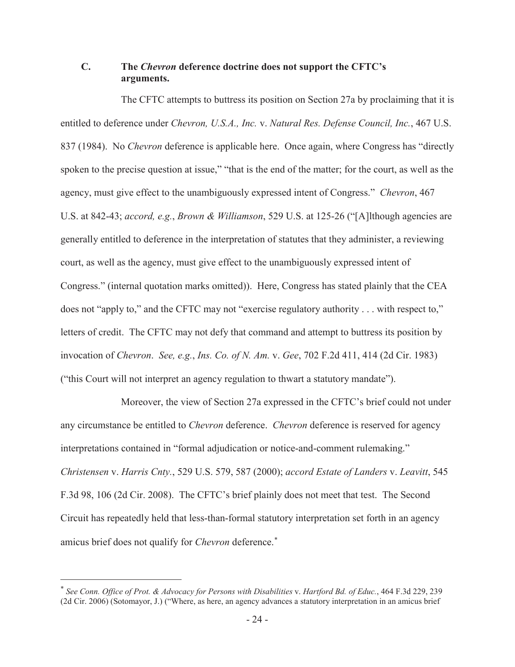## **C. The** *Chevron* **deference doctrine does not support the CFTC's arguments.**

The CFTC attempts to buttress its position on Section 27a by proclaiming that it is entitled to deference under *Chevron, U.S.A., Inc.* v. *Natural Res. Defense Council, Inc.*, 467 U.S. 837 (1984). No *Chevron* deference is applicable here. Once again, where Congress has "directly spoken to the precise question at issue," "that is the end of the matter; for the court, as well as the agency, must give effect to the unambiguously expressed intent of Congress." *Chevron*, 467 U.S. at 842-43; *accord, e.g.*, *Brown & Williamson*, 529 U.S. at 125-26 ("[A]lthough agencies are generally entitled to deference in the interpretation of statutes that they administer, a reviewing court, as well as the agency, must give effect to the unambiguously expressed intent of Congress." (internal quotation marks omitted)). Here, Congress has stated plainly that the CEA does not "apply to," and the CFTC may not "exercise regulatory authority . . . with respect to," letters of credit. The CFTC may not defy that command and attempt to buttress its position by invocation of *Chevron*. *See, e.g.*, *Ins. Co. of N. Am.* v. *Gee*, 702 F.2d 411, 414 (2d Cir. 1983) ("this Court will not interpret an agency regulation to thwart a statutory mandate").

Moreover, the view of Section 27a expressed in the CFTC's brief could not under any circumstance be entitled to *Chevron* deference. *Chevron* deference is reserved for agency interpretations contained in "formal adjudication or notice-and-comment rulemaking." *Christensen* v. *Harris Cnty.*, 529 U.S. 579, 587 (2000); *accord Estate of Landers* v. *Leavitt*, 545 F.3d 98, 106 (2d Cir. 2008). The CFTC's brief plainly does not meet that test. The Second Circuit has repeatedly held that less-than-formal statutory interpretation set forth in an agency amicus brief does not qualify for *Chevron* deference.

 *See Conn. Office of Prot. & Advocacy for Persons with Disabilities* v. *Hartford Bd. of Educ.*, 464 F.3d 229, 239 (2d Cir. 2006) (Sotomayor, J.) ("Where, as here, an agency advances a statutory interpretation in an amicus brief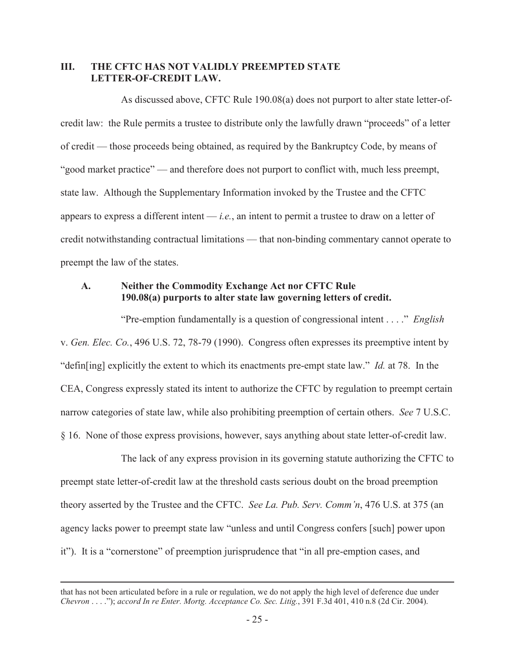#### **III. THE CFTC HAS NOT VALIDLY PREEMPTED STATE LETTER-OF-CREDIT LAW.**

As discussed above, CFTC Rule 190.08(a) does not purport to alter state letter-ofcredit law: the Rule permits a trustee to distribute only the lawfully drawn "proceeds" of a letter of credit — those proceeds being obtained, as required by the Bankruptcy Code, by means of "good market practice" — and therefore does not purport to conflict with, much less preempt, state law. Although the Supplementary Information invoked by the Trustee and the CFTC appears to express a different intent — *i.e.*, an intent to permit a trustee to draw on a letter of credit notwithstanding contractual limitations — that non-binding commentary cannot operate to preempt the law of the states.

#### **A. Neither the Commodity Exchange Act nor CFTC Rule 190.08(a) purports to alter state law governing letters of credit.**

"Pre-emption fundamentally is a question of congressional intent . . . ." *English*  v. *Gen. Elec. Co.*, 496 U.S. 72, 78-79 (1990). Congress often expresses its preemptive intent by "defin[ing] explicitly the extent to which its enactments pre-empt state law." *Id.* at 78. In the CEA, Congress expressly stated its intent to authorize the CFTC by regulation to preempt certain narrow categories of state law, while also prohibiting preemption of certain others. *See* 7 U.S.C. § 16. None of those express provisions, however, says anything about state letter-of-credit law.

The lack of any express provision in its governing statute authorizing the CFTC to preempt state letter-of-credit law at the threshold casts serious doubt on the broad preemption theory asserted by the Trustee and the CFTC. *See La. Pub. Serv. Comm'n*, 476 U.S. at 375 (an agency lacks power to preempt state law "unless and until Congress confers [such] power upon it"). It is a "cornerstone" of preemption jurisprudence that "in all pre-emption cases, and

that has not been articulated before in a rule or regulation, we do not apply the high level of deference due under *Chevron* . . . ."); *accord In re Enter. Mortg. Acceptance Co. Sec. Litig.*, 391 F.3d 401, 410 n.8 (2d Cir. 2004).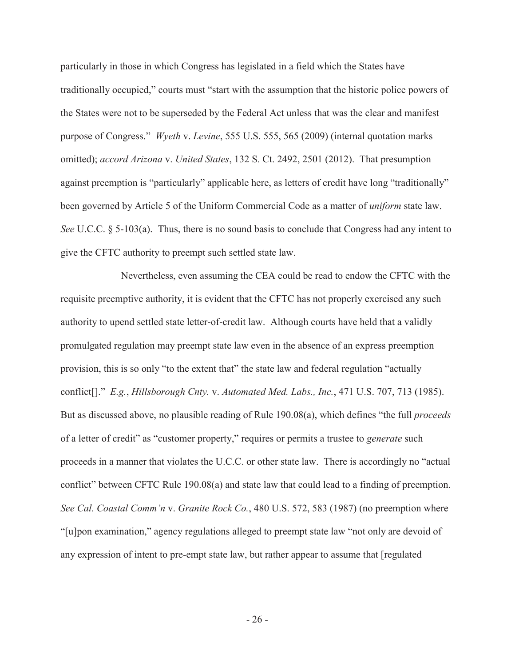particularly in those in which Congress has legislated in a field which the States have traditionally occupied," courts must "start with the assumption that the historic police powers of the States were not to be superseded by the Federal Act unless that was the clear and manifest purpose of Congress." *Wyeth* v. *Levine*, 555 U.S. 555, 565 (2009) (internal quotation marks omitted); *accord Arizona* v. *United States*, 132 S. Ct. 2492, 2501 (2012). That presumption against preemption is "particularly" applicable here, as letters of credit have long "traditionally" been governed by Article 5 of the Uniform Commercial Code as a matter of *uniform* state law. *See* U.C.C. § 5-103(a). Thus, there is no sound basis to conclude that Congress had any intent to give the CFTC authority to preempt such settled state law.

Nevertheless, even assuming the CEA could be read to endow the CFTC with the requisite preemptive authority, it is evident that the CFTC has not properly exercised any such authority to upend settled state letter-of-credit law. Although courts have held that a validly promulgated regulation may preempt state law even in the absence of an express preemption provision, this is so only "to the extent that" the state law and federal regulation "actually conflict[]." *E.g.*, *Hillsborough Cnty.* v. *Automated Med. Labs., Inc.*, 471 U.S. 707, 713 (1985). But as discussed above, no plausible reading of Rule 190.08(a), which defines "the full *proceeds* of a letter of credit" as "customer property," requires or permits a trustee to *generate* such proceeds in a manner that violates the U.C.C. or other state law. There is accordingly no "actual conflict" between CFTC Rule 190.08(a) and state law that could lead to a finding of preemption. *See Cal. Coastal Comm'n* v. *Granite Rock Co.*, 480 U.S. 572, 583 (1987) (no preemption where "[u]pon examination," agency regulations alleged to preempt state law "not only are devoid of any expression of intent to pre-empt state law, but rather appear to assume that [regulated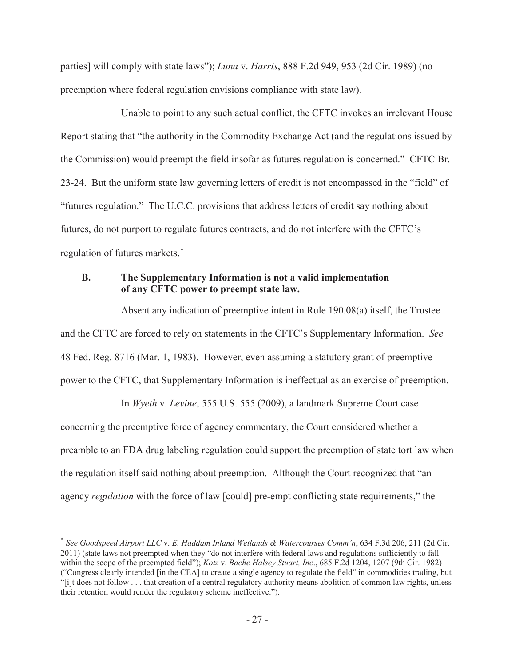parties] will comply with state laws"); *Luna* v. *Harris*, 888 F.2d 949, 953 (2d Cir. 1989) (no preemption where federal regulation envisions compliance with state law).

Unable to point to any such actual conflict, the CFTC invokes an irrelevant House Report stating that "the authority in the Commodity Exchange Act (and the regulations issued by the Commission) would preempt the field insofar as futures regulation is concerned." CFTC Br. 23-24. But the uniform state law governing letters of credit is not encompassed in the "field" of "futures regulation." The U.C.C. provisions that address letters of credit say nothing about futures, do not purport to regulate futures contracts, and do not interfere with the CFTC's regulation of futures markets.

## **B. The Supplementary Information is not a valid implementation of any CFTC power to preempt state law.**

Absent any indication of preemptive intent in Rule 190.08(a) itself, the Trustee and the CFTC are forced to rely on statements in the CFTC's Supplementary Information. *See*  48 Fed. Reg. 8716 (Mar. 1, 1983). However, even assuming a statutory grant of preemptive power to the CFTC, that Supplementary Information is ineffectual as an exercise of preemption.

In *Wyeth* v. *Levine*, 555 U.S. 555 (2009), a landmark Supreme Court case concerning the preemptive force of agency commentary, the Court considered whether a preamble to an FDA drug labeling regulation could support the preemption of state tort law when the regulation itself said nothing about preemption. Although the Court recognized that "an agency *regulation* with the force of law [could] pre-empt conflicting state requirements," the

 *See Goodspeed Airport LLC* v. *E. Haddam Inland Wetlands & Watercourses Comm'n*, 634 F.3d 206, 211 (2d Cir. 2011) (state laws not preempted when they "do not interfere with federal laws and regulations sufficiently to fall within the scope of the preempted field"); *Kotz* v. *Bache Halsey Stuart, Inc*., 685 F.2d 1204, 1207 (9th Cir. 1982) ("Congress clearly intended [in the CEA] to create a single agency to regulate the field" in commodities trading, but "[i]t does not follow . . . that creation of a central regulatory authority means abolition of common law rights, unless their retention would render the regulatory scheme ineffective.").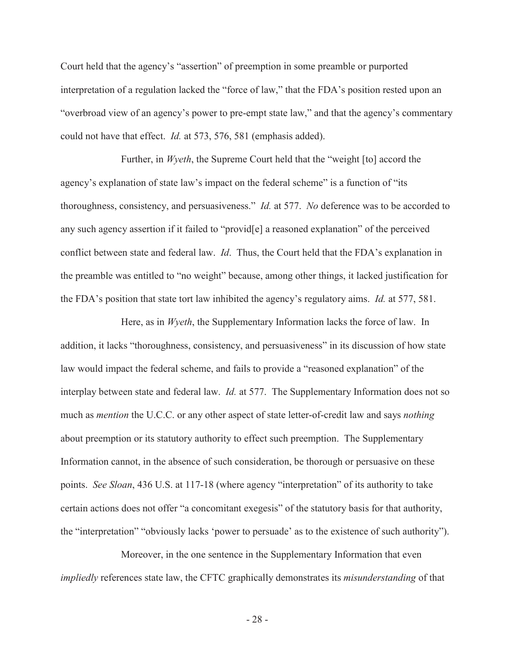Court held that the agency's "assertion" of preemption in some preamble or purported interpretation of a regulation lacked the "force of law," that the FDA's position rested upon an "overbroad view of an agency's power to pre-empt state law," and that the agency's commentary could not have that effect. *Id.* at 573, 576, 581 (emphasis added).

Further, in *Wyeth*, the Supreme Court held that the "weight [to] accord the agency's explanation of state law's impact on the federal scheme" is a function of "its thoroughness, consistency, and persuasiveness." *Id.* at 577. *No* deference was to be accorded to any such agency assertion if it failed to "provid[e] a reasoned explanation" of the perceived conflict between state and federal law. *Id*. Thus, the Court held that the FDA's explanation in the preamble was entitled to "no weight" because, among other things, it lacked justification for the FDA's position that state tort law inhibited the agency's regulatory aims. *Id.* at 577, 581.

Here, as in *Wyeth*, the Supplementary Information lacks the force of law. In addition, it lacks "thoroughness, consistency, and persuasiveness" in its discussion of how state law would impact the federal scheme, and fails to provide a "reasoned explanation" of the interplay between state and federal law. *Id.* at 577. The Supplementary Information does not so much as *mention* the U.C.C. or any other aspect of state letter-of-credit law and says *nothing* about preemption or its statutory authority to effect such preemption. The Supplementary Information cannot, in the absence of such consideration, be thorough or persuasive on these points. *See Sloan*, 436 U.S. at 117-18 (where agency "interpretation" of its authority to take certain actions does not offer "a concomitant exegesis" of the statutory basis for that authority, the "interpretation" "obviously lacks 'power to persuade' as to the existence of such authority").

Moreover, in the one sentence in the Supplementary Information that even *impliedly* references state law, the CFTC graphically demonstrates its *misunderstanding* of that

- 28 -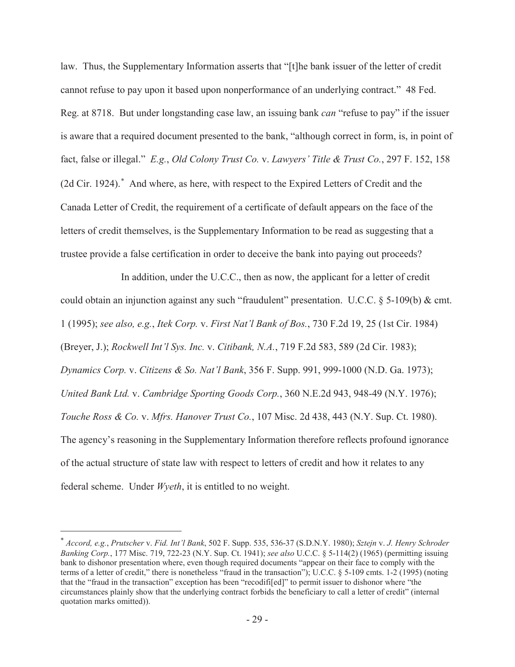law. Thus, the Supplementary Information asserts that "[t]he bank issuer of the letter of credit cannot refuse to pay upon it based upon nonperformance of an underlying contract." 48 Fed. Reg. at 8718. But under longstanding case law, an issuing bank *can* "refuse to pay" if the issuer is aware that a required document presented to the bank, "although correct in form, is, in point of fact, false or illegal." *E.g.*, *Old Colony Trust Co.* v. *Lawyers' Title & Trust Co.*, 297 F. 152, 158 (2d Cir. 1924). And where, as here, with respect to the Expired Letters of Credit and the Canada Letter of Credit, the requirement of a certificate of default appears on the face of the letters of credit themselves, is the Supplementary Information to be read as suggesting that a trustee provide a false certification in order to deceive the bank into paying out proceeds?

In addition, under the U.C.C., then as now, the applicant for a letter of credit could obtain an injunction against any such "fraudulent" presentation. U.C.C. § 5-109(b) & cmt. 1 (1995); *see also, e.g.*, *Itek Corp.* v. *First Nat'l Bank of Bos.*, 730 F.2d 19, 25 (1st Cir. 1984) (Breyer, J.); *Rockwell Int'l Sys. Inc.* v. *Citibank, N.A.*, 719 F.2d 583, 589 (2d Cir. 1983); *Dynamics Corp.* v. *Citizens & So. Nat'l Bank*, 356 F. Supp. 991, 999-1000 (N.D. Ga. 1973); *United Bank Ltd.* v. *Cambridge Sporting Goods Corp.*, 360 N.E.2d 943, 948-49 (N.Y. 1976); *Touche Ross & Co.* v. *Mfrs. Hanover Trust Co.*, 107 Misc. 2d 438, 443 (N.Y. Sup. Ct. 1980). The agency's reasoning in the Supplementary Information therefore reflects profound ignorance of the actual structure of state law with respect to letters of credit and how it relates to any federal scheme. Under *Wyeth*, it is entitled to no weight.

 *Accord, e.g.*, *Prutscher* v. *Fid. Int'l Bank*, 502 F. Supp. 535, 536-37 (S.D.N.Y. 1980); *Sztejn* v. *J. Henry Schroder Banking Corp.*, 177 Misc. 719, 722-23 (N.Y. Sup. Ct. 1941); *see also* U.C.C. § 5-114(2) (1965) (permitting issuing bank to dishonor presentation where, even though required documents "appear on their face to comply with the terms of a letter of credit," there is nonetheless "fraud in the transaction"); U.C.C. § 5-109 cmts. 1-2 (1995) (noting that the "fraud in the transaction" exception has been "recodifi[ed]" to permit issuer to dishonor where "the circumstances plainly show that the underlying contract forbids the beneficiary to call a letter of credit" (internal quotation marks omitted)).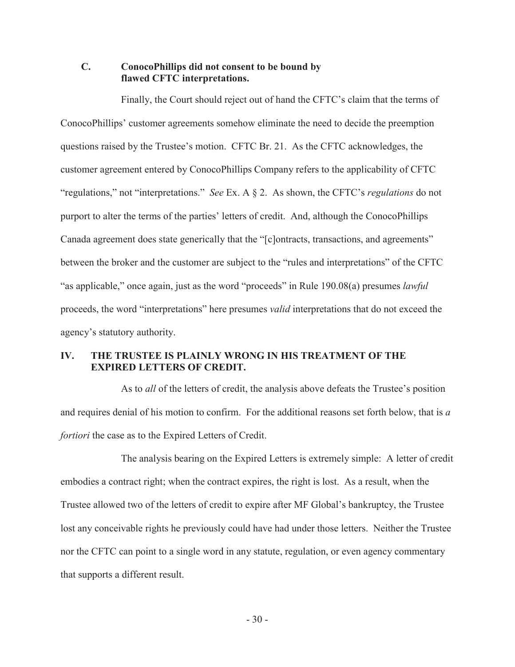#### **C. ConocoPhillips did not consent to be bound by flawed CFTC interpretations.**

Finally, the Court should reject out of hand the CFTC's claim that the terms of ConocoPhillips' customer agreements somehow eliminate the need to decide the preemption questions raised by the Trustee's motion. CFTC Br. 21. As the CFTC acknowledges, the customer agreement entered by ConocoPhillips Company refers to the applicability of CFTC "regulations," not "interpretations." *See* Ex. A § 2. As shown, the CFTC's *regulations* do not purport to alter the terms of the parties' letters of credit. And, although the ConocoPhillips Canada agreement does state generically that the "[c]ontracts, transactions, and agreements" between the broker and the customer are subject to the "rules and interpretations" of the CFTC "as applicable," once again, just as the word "proceeds" in Rule 190.08(a) presumes *lawful*  proceeds, the word "interpretations" here presumes *valid* interpretations that do not exceed the agency's statutory authority.

## **IV. THE TRUSTEE IS PLAINLY WRONG IN HIS TREATMENT OF THE EXPIRED LETTERS OF CREDIT.**

As to *all* of the letters of credit, the analysis above defeats the Trustee's position and requires denial of his motion to confirm. For the additional reasons set forth below, that is *a fortiori* the case as to the Expired Letters of Credit.

The analysis bearing on the Expired Letters is extremely simple: A letter of credit embodies a contract right; when the contract expires, the right is lost. As a result, when the Trustee allowed two of the letters of credit to expire after MF Global's bankruptcy, the Trustee lost any conceivable rights he previously could have had under those letters. Neither the Trustee nor the CFTC can point to a single word in any statute, regulation, or even agency commentary that supports a different result.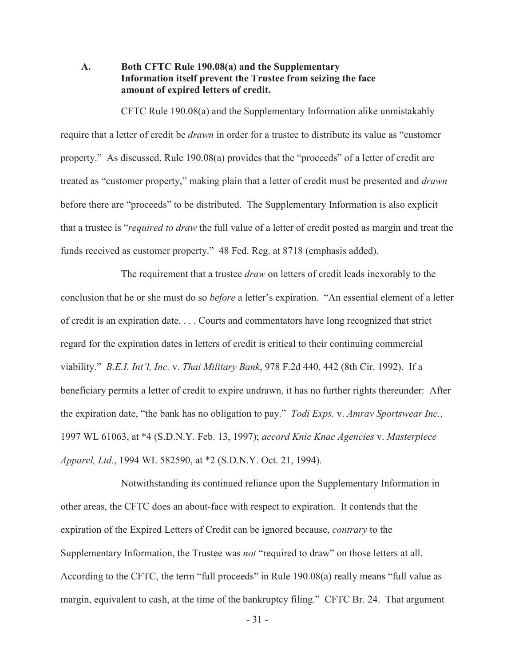#### **A. Both CFTC Rule 190.08(a) and the Supplementary Information itself prevent the Trustee from seizing the face amount of expired letters of credit.**

CFTC Rule 190.08(a) and the Supplementary Information alike unmistakably require that a letter of credit be *drawn* in order for a trustee to distribute its value as "customer property." As discussed, Rule 190.08(a) provides that the "proceeds" of a letter of credit are treated as "customer property," making plain that a letter of credit must be presented and *drawn*  before there are "proceeds" to be distributed. The Supplementary Information is also explicit that a trustee is "*required to draw* the full value of a letter of credit posted as margin and treat the funds received as customer property." 48 Fed. Reg. at 8718 (emphasis added).

The requirement that a trustee *draw* on letters of credit leads inexorably to the conclusion that he or she must do so *before* a letter's expiration. "An essential element of a letter of credit is an expiration date. . . . Courts and commentators have long recognized that strict regard for the expiration dates in letters of credit is critical to their continuing commercial viability." *B.E.I. Int'l, Inc.* v. *Thai Military Bank*, 978 F.2d 440, 442 (8th Cir. 1992). If a beneficiary permits a letter of credit to expire undrawn, it has no further rights thereunder: After the expiration date, "the bank has no obligation to pay." *Todi Exps.* v. *Amrav Sportswear Inc.*, 1997 WL 61063, at \*4 (S.D.N.Y. Feb. 13, 1997); *accord Knic Knac Agencies* v. *Masterpiece Apparel, Ltd.*, 1994 WL 582590, at \*2 (S.D.N.Y. Oct. 21, 1994).

Notwithstanding its continued reliance upon the Supplementary Information in other areas, the CFTC does an about-face with respect to expiration. It contends that the expiration of the Expired Letters of Credit can be ignored because, *contrary* to the Supplementary Information, the Trustee was *not* "required to draw" on those letters at all. According to the CFTC, the term "full proceeds" in Rule 190.08(a) really means "full value as margin, equivalent to cash, at the time of the bankruptcy filing." CFTC Br. 24. That argument

- 31 -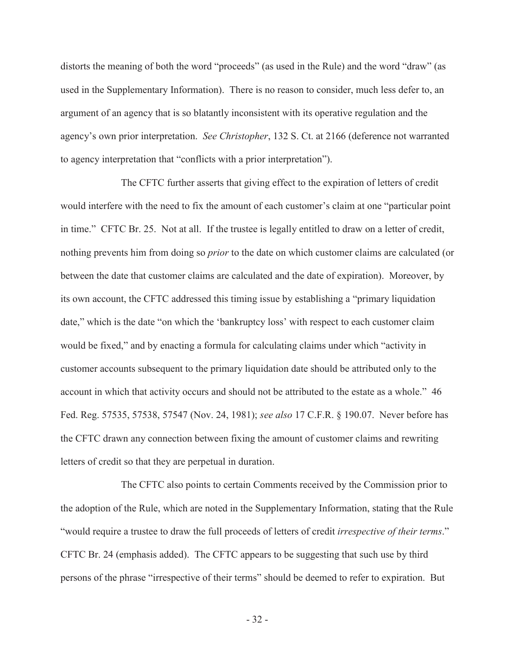distorts the meaning of both the word "proceeds" (as used in the Rule) and the word "draw" (as used in the Supplementary Information). There is no reason to consider, much less defer to, an argument of an agency that is so blatantly inconsistent with its operative regulation and the agency's own prior interpretation. *See Christopher*, 132 S. Ct. at 2166 (deference not warranted to agency interpretation that "conflicts with a prior interpretation").

The CFTC further asserts that giving effect to the expiration of letters of credit would interfere with the need to fix the amount of each customer's claim at one "particular point in time." CFTC Br. 25. Not at all. If the trustee is legally entitled to draw on a letter of credit, nothing prevents him from doing so *prior* to the date on which customer claims are calculated (or between the date that customer claims are calculated and the date of expiration). Moreover, by its own account, the CFTC addressed this timing issue by establishing a "primary liquidation date," which is the date "on which the 'bankruptcy loss' with respect to each customer claim would be fixed," and by enacting a formula for calculating claims under which "activity in customer accounts subsequent to the primary liquidation date should be attributed only to the account in which that activity occurs and should not be attributed to the estate as a whole." 46 Fed. Reg. 57535, 57538, 57547 (Nov. 24, 1981); *see also* 17 C.F.R. § 190.07. Never before has the CFTC drawn any connection between fixing the amount of customer claims and rewriting letters of credit so that they are perpetual in duration.

The CFTC also points to certain Comments received by the Commission prior to the adoption of the Rule, which are noted in the Supplementary Information, stating that the Rule "would require a trustee to draw the full proceeds of letters of credit *irrespective of their terms*." CFTC Br. 24 (emphasis added). The CFTC appears to be suggesting that such use by third persons of the phrase "irrespective of their terms" should be deemed to refer to expiration. But

- 32 -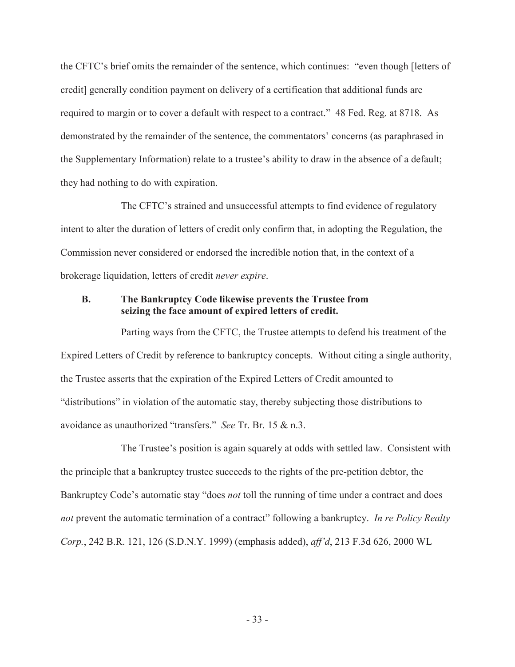the CFTC's brief omits the remainder of the sentence, which continues: "even though [letters of credit] generally condition payment on delivery of a certification that additional funds are required to margin or to cover a default with respect to a contract." 48 Fed. Reg. at 8718. As demonstrated by the remainder of the sentence, the commentators' concerns (as paraphrased in the Supplementary Information) relate to a trustee's ability to draw in the absence of a default; they had nothing to do with expiration.

The CFTC's strained and unsuccessful attempts to find evidence of regulatory intent to alter the duration of letters of credit only confirm that, in adopting the Regulation, the Commission never considered or endorsed the incredible notion that, in the context of a brokerage liquidation, letters of credit *never expire*.

#### **B. The Bankruptcy Code likewise prevents the Trustee from seizing the face amount of expired letters of credit.**

Parting ways from the CFTC, the Trustee attempts to defend his treatment of the Expired Letters of Credit by reference to bankruptcy concepts. Without citing a single authority, the Trustee asserts that the expiration of the Expired Letters of Credit amounted to "distributions" in violation of the automatic stay, thereby subjecting those distributions to avoidance as unauthorized "transfers." *See* Tr. Br. 15 & n.3.

The Trustee's position is again squarely at odds with settled law. Consistent with the principle that a bankruptcy trustee succeeds to the rights of the pre-petition debtor, the Bankruptcy Code's automatic stay "does *not* toll the running of time under a contract and does *not* prevent the automatic termination of a contract" following a bankruptcy. *In re Policy Realty Corp.*, 242 B.R. 121, 126 (S.D.N.Y. 1999) (emphasis added), *aff'd*, 213 F.3d 626, 2000 WL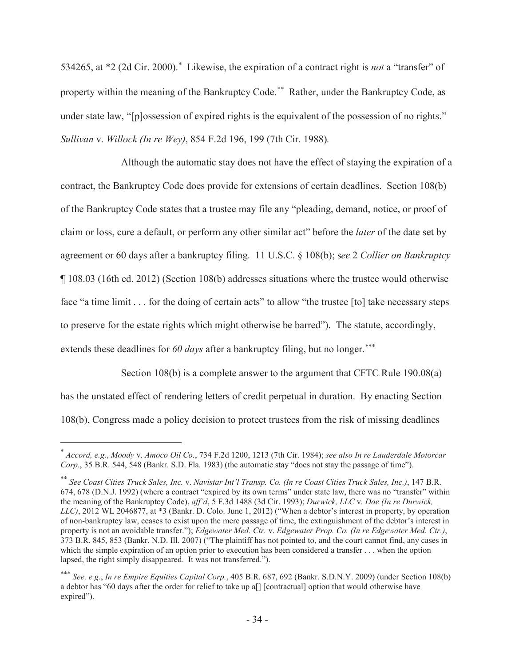534265, at \*2 (2d Cir. 2000). Likewise, the expiration of a contract right is *not* a "transfer" of property within the meaning of the Bankruptcy Code.<sup>\*\*</sup> Rather, under the Bankruptcy Code, as under state law, "[p]ossession of expired rights is the equivalent of the possession of no rights." *Sullivan* v. *Willock (In re Wey)*, 854 F.2d 196, 199 (7th Cir. 1988)*.*

Although the automatic stay does not have the effect of staying the expiration of a contract, the Bankruptcy Code does provide for extensions of certain deadlines. Section 108(b) of the Bankruptcy Code states that a trustee may file any "pleading, demand, notice, or proof of claim or loss, cure a default, or perform any other similar act" before the *later* of the date set by agreement or 60 days after a bankruptcy filing. 11 U.S.C. § 108(b); s*ee* 2 *Collier on Bankruptcy*  ¶ 108.03 (16th ed. 2012) (Section 108(b) addresses situations where the trustee would otherwise face "a time limit . . . for the doing of certain acts" to allow "the trustee [to] take necessary steps to preserve for the estate rights which might otherwise be barred"). The statute, accordingly, extends these deadlines for 60 days after a bankruptcy filing, but no longer.<sup>\*\*\*</sup>

Section 108(b) is a complete answer to the argument that CFTC Rule 190.08(a) has the unstated effect of rendering letters of credit perpetual in duration. By enacting Section

108(b), Congress made a policy decision to protect trustees from the risk of missing deadlines

 *Accord, e.g.*, *Moody* v. *Amoco Oil Co.*, 734 F.2d 1200, 1213 (7th Cir. 1984); *see also In re Lauderdale Motorcar Corp.*, 35 B.R. 544, 548 (Bankr. S.D. Fla. 1983) (the automatic stay "does not stay the passage of time").

 *See Coast Cities Truck Sales, Inc.* v. *Navistar Int'l Transp. Co. (In re Coast Cities Truck Sales, Inc.)*, 147 B.R. 674, 678 (D.N.J. 1992) (where a contract "expired by its own terms" under state law, there was no "transfer" within the meaning of the Bankruptcy Code), *aff'd*, 5 F.3d 1488 (3d Cir. 1993); *Durwick, LLC* v. *Doe (In re Durwick, LLC)*, 2012 WL 2046877, at \*3 (Bankr. D. Colo. June 1, 2012) ("When a debtor's interest in property, by operation of non-bankruptcy law, ceases to exist upon the mere passage of time, the extinguishment of the debtor's interest in property is not an avoidable transfer."); *Edgewater Med. Ctr.* v. *Edgewater Prop. Co. (In re Edgewater Med. Ctr.)*, 373 B.R. 845, 853 (Bankr. N.D. Ill. 2007) ("The plaintiff has not pointed to, and the court cannot find, any cases in which the simple expiration of an option prior to execution has been considered a transfer . . . when the option lapsed, the right simply disappeared. It was not transferred.").

 *See, e.g.*, *In re Empire Equities Capital Corp.*, 405 B.R. 687, 692 (Bankr. S.D.N.Y. 2009) (under Section 108(b) a debtor has "60 days after the order for relief to take up a[] [contractual] option that would otherwise have expired").